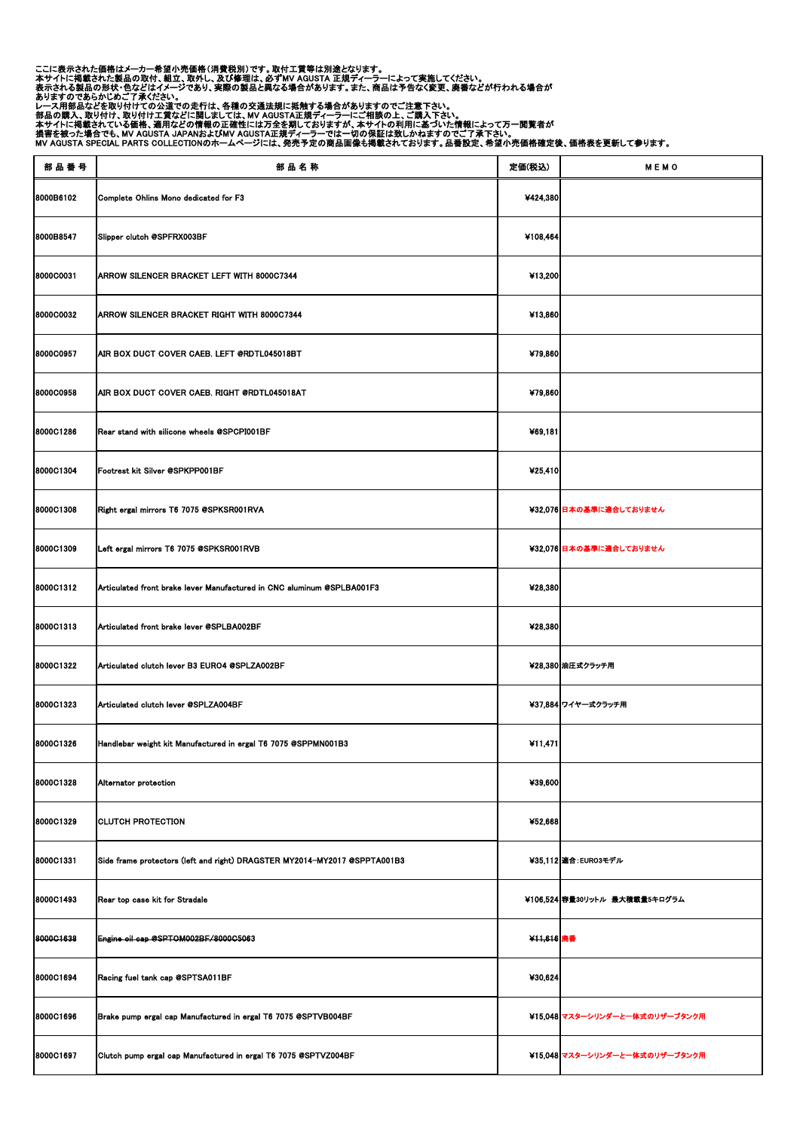ここに表示された価格はメーカー希望小売価格(消費税別)です。取付工賃等は別途となります。 本サイトに掲載された製品の取付、組立、取外し、及び修理は、必ずMV AGUSTA 正規ディーラーによって実施してください。 表示される製品の形状・色などはイメージであり、実際の製品と異なる場合があります。また、商品は予告なく変更、廃番などが行われる場合が ありますのであらかじめご了承ください。 レース用部品などを取り付けての公道での走行は、各種の交通法規に抵触する場合がありますのでご注意下さい。 部品の購入、取り付け、取り付け工賃などに関しましては、MV AGUSTA正規ディーラーにご相談の上、ご購入下さい。

本サイトに掲載されている価格、適用などの情報の正確性には万全を期しておりますが、本サイトの利用に基づいた情報によって万一閲覧者が

損害を被った場合でも、MV AGUSTA JAPANおよびMV AGUSTA正規ディーラーでは一切の保証は致しかねますのでご了承下さい。

MV AGUSTA SPECIAL PARTS COLLECTIONのホームページには、発売予定の商品画像も掲載されております。品番設定、希望小売価格確定後、価格表を更新して参ります。

| 部品番号             | 部品名称                                                                      | 定価(税込)     | MEMO                           |
|------------------|---------------------------------------------------------------------------|------------|--------------------------------|
| 8000B6102        | Complete Ohlins Mono dedicated for F3                                     | ¥424,380   |                                |
| 8000B8547        | Slipper clutch @SPFRX003BF                                                | ¥108,464   |                                |
| 8000C0031        | <b>ARROW SILENCER BRACKET LEFT WITH 8000C7344</b>                         | ¥13,200    |                                |
| <b>8000C0032</b> | <b>ARROW SILENCER BRACKET RIGHT WITH 8000C7344</b>                        | ¥13,860    |                                |
| 8000C0957        | AIR BOX DUCT COVER CAEB. LEFT @RDTL045018BT                               | ¥79,860    |                                |
| <b>8000C0958</b> | AIR BOX DUCT COVER CAEB. RIGHT @RDTL045018AT                              | ¥79,860    |                                |
| 8000C1286        | Rear stand with silicone wheels @SPCPI001BF                               | ¥69,181    |                                |
| 8000C1304        | Footrest kit Silver @SPKPP001BF                                           | 425,410    |                                |
| 8000C1308        | Right ergal mirrors T6 7075 @SPKSR001RVA                                  |            | ¥32,076 日本の基準に適合しておりません        |
| <b>8000C1309</b> | Left ergal mirrors T6 7075 @SPKSR001RVB                                   |            | ¥32,076 日本の基準に適合しておりません        |
| 8000C1312        | Articulated front brake lever Manufactured in CNC aluminum @SPLBA001F3    | ¥28,380    |                                |
| <b>8000C1313</b> | Articulated front brake lever @SPLBA002BF                                 | ¥28,380    |                                |
| 8000C1322        | Articulated clutch lever B3 EURO4 @SPLZA002BF                             |            | ¥28,380 油圧式クラッチ用               |
| <b>8000C1323</b> | Articulated clutch lever @SPLZA004BF                                      |            | ¥37,884 ワイヤー式クラッチ用             |
| 8000C1326        | Handlebar weight kit Manufactured in ergal T6 7075 @SPPMN001B3            | 411,471    |                                |
| <b>8000C1328</b> | Alternator protection                                                     | ¥39,600    |                                |
| 8000C1329        | <b>CLUTCH PROTECTION</b>                                                  | ¥52,668    |                                |
| 8000C1331        | Side frame protectors (left and right) DRAGSTER MY2014-MY2017 @SPPTA001B3 |            | ¥35,112 適合: EURO3モデル           |
| 8000C1493        | Rear top case kit for Stradale                                            |            | ¥106,524 容量30リットル 最大積載量5キログラム  |
| 8000C1638        | Engine oil cap @SPTOM002BF/8000C5063                                      | ¥11,616 廃番 |                                |
| 8000C1694        | Racing fuel tank cap @SPTSA011BF                                          | ¥30,624    |                                |
| 8000C1696        | Brake pump ergal cap Manufactured in ergal T6 7075 @SPTVB004BF            |            | ¥15,048 マスターシリンダーと一体式のリザーブタンク用 |
| 8000C1697        | Clutch pump ergal cap Manufactured in ergal T6 7075 @SPTVZ004BF           |            | ¥15,048 マスターシリンダーと一体式のリザーブタンク用 |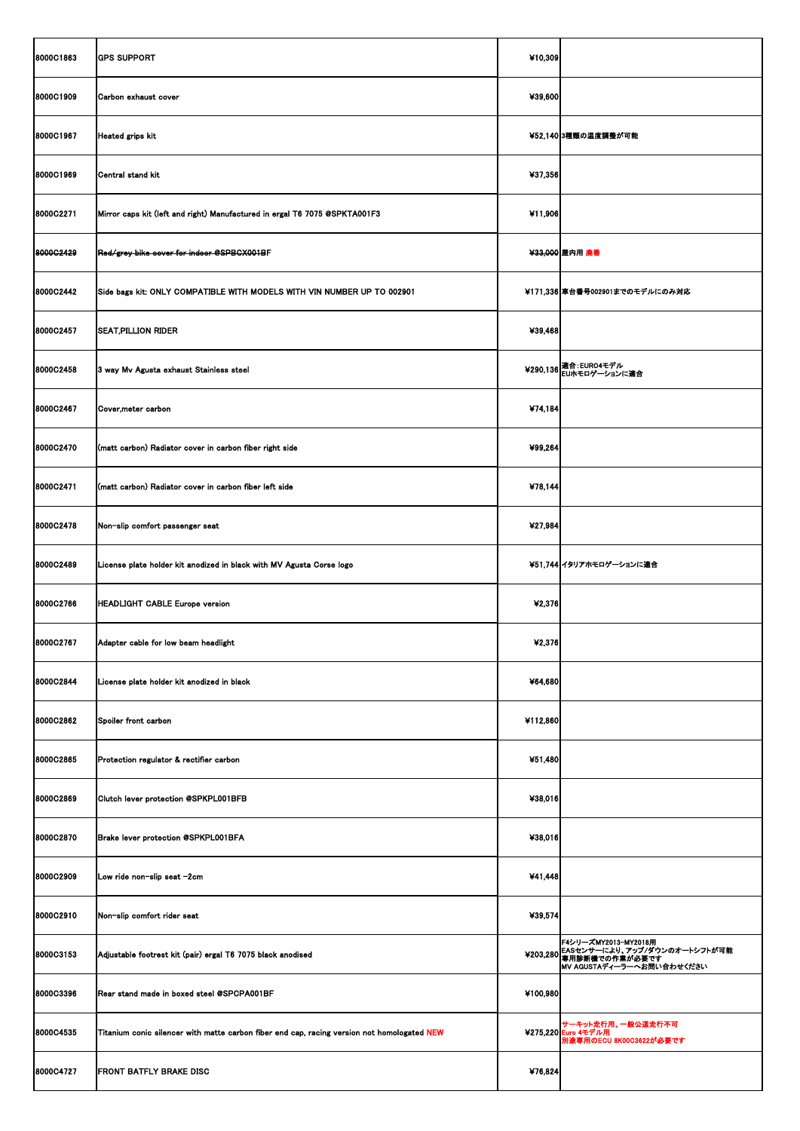| 8000C1863        | <b>GPS SUPPORT</b>                                                                          | ¥10,309  |                                                                                                                       |
|------------------|---------------------------------------------------------------------------------------------|----------|-----------------------------------------------------------------------------------------------------------------------|
| 8000C1909        | Carbon exhaust cover                                                                        | ¥39,600  |                                                                                                                       |
| 8000C1967        | <b>Heated grips kit</b>                                                                     |          | ¥52,140 3種類の温度調整が可能                                                                                                   |
| 8000C1969        | Central stand kit                                                                           | ¥37,356  |                                                                                                                       |
| 8000C2271        | Mirror caps kit (left and right) Manufactured in ergal T6 7075 @SPKTA001F3                  | ¥11,906  |                                                                                                                       |
| 8000G2429        | Red/grey bike cover for indoor @SPBCX001BF                                                  |          | ¥33,000 屋内用 廃番                                                                                                        |
| 8000C2442        | Side bags kit: ONLY COMPATIBLE WITH MODELS WITH VIN NUMBER UP TO 002901                     |          | ¥171,336 車台番号002901までのモデルにのみ対応                                                                                        |
| 8000C2457        | <b>SEAT, PILLION RIDER</b>                                                                  | ¥39,468  |                                                                                                                       |
| 8000C2458        | 3 way Mv Agusta exhaust Stainless steel                                                     |          | ¥290,136   適合: EURO4モデル<br>¥290,136   EUホモロゲーションに適合                                                                   |
| 8000C2467        | Cover, meter carbon                                                                         | ¥74,184  |                                                                                                                       |
| 8000C2470        | (matt carbon) Radiator cover in carbon fiber right side                                     | ¥99,264  |                                                                                                                       |
| 8000C2471        | (matt carbon) Radiator cover in carbon fiber left side                                      | ¥78,144  |                                                                                                                       |
| 8000C2478        | Non-slip comfort passenger seat                                                             | ¥27,984  |                                                                                                                       |
| <b>8000C2489</b> | License plate holder kit anodized in black with MV Agusta Corse logo                        |          | ¥51,744 イタリアホモロゲーションに適合                                                                                               |
| 8000C2766        | HEADLIGHT CABLE Europe version                                                              | ¥2,376   |                                                                                                                       |
| 8000C2767        | Adapter cable for low beam headlight                                                        | ¥2,376   |                                                                                                                       |
| 8000C2844        | License plate holder kit anodized in black                                                  | ¥64,680  |                                                                                                                       |
| 8000C2862        | Spoiler front carbon                                                                        | ¥112,860 |                                                                                                                       |
| 8000C2865        | Protection regulator & rectifier carbon                                                     | ¥51,480  |                                                                                                                       |
| <b>8000C2869</b> | Clutch lever protection @SPKPL001BFB                                                        | ¥38,016  |                                                                                                                       |
| <b>8000C2870</b> | Brake lever protection @SPKPL001BFA                                                         | ¥38,016  |                                                                                                                       |
| <b>8000C2909</b> | Low ride non-slip seat -2cm                                                                 | ¥41,448  |                                                                                                                       |
| 8000C2910        | Non-slip comfort rider seat                                                                 | ¥39,574  |                                                                                                                       |
| 8000C3153        | Adjustable footrest kit (pair) ergal T6 7075 black anodised                                 |          | F4シリーズMY2013-MY2018用<br>¥203,280 EASセンサーにより、アップ/ダウンのオートシフトが可能<br>キ203,280 専用診断機での作業が必要です<br>MV AGUSTAディーラーへお問い合わせください |
| 8000C3396        | Rear stand made in boxed steel @SPCPA001BF                                                  | ¥100,980 |                                                                                                                       |
| 8000C4535        | Titanium conic silencer with matte carbon fiber end cap, racing version not homologated NEW |          | サーキット走行用、一般公道走行不可<br>¥275,220 Euro 4モデル用<br>別途専用のECU 8K00C3622が必要です                                                   |
| 8000C4727        | <b>FRONT BATFLY BRAKE DISC</b>                                                              | ¥76,824  |                                                                                                                       |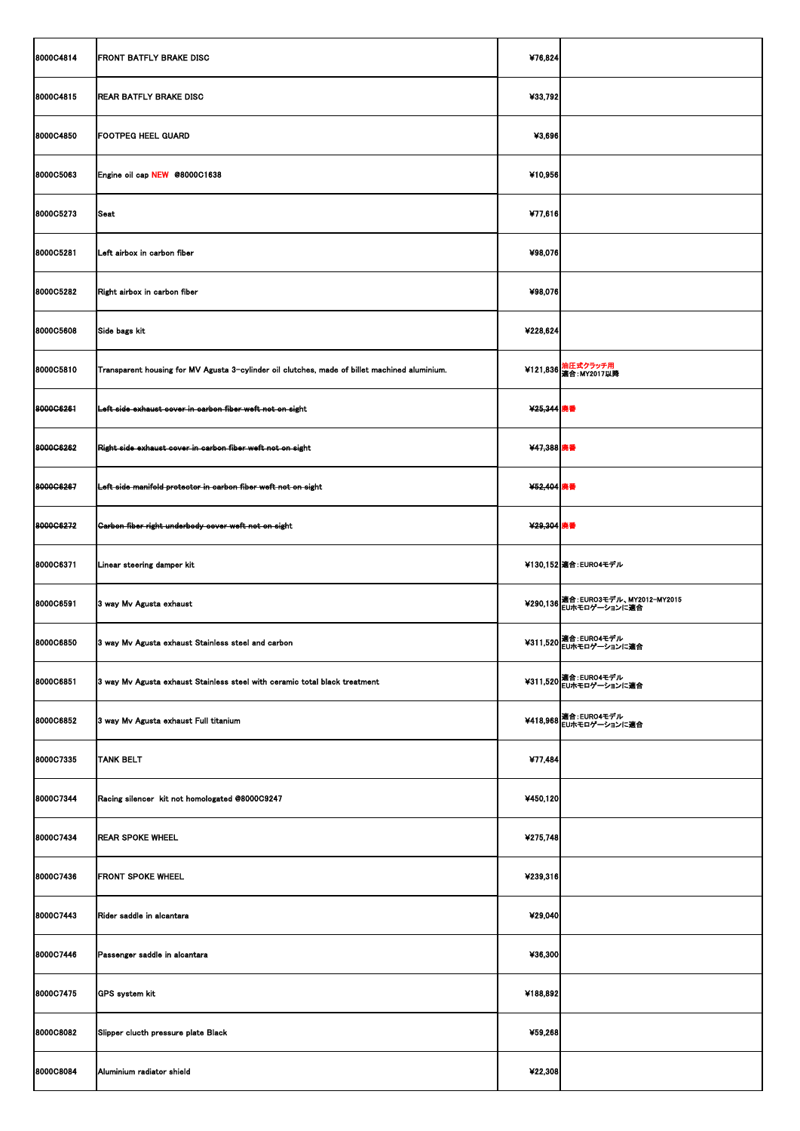| 8000C4814        | <b>FRONT BATFLY BRAKE DISC</b>                                                                | ¥76,824    |                                                      |
|------------------|-----------------------------------------------------------------------------------------------|------------|------------------------------------------------------|
| 8000C4815        | <b>REAR BATFLY BRAKE DISC</b>                                                                 | ¥33,792    |                                                      |
| <b>8000C4850</b> | <b>FOOTPEG HEEL GUARD</b>                                                                     | ¥3,696     |                                                      |
| <b>8000C5063</b> | Engine oil cap NEW @8000C1638                                                                 | ¥10,956    |                                                      |
| 8000C5273        | Seat                                                                                          | ¥77,616    |                                                      |
| 8000C5281        | Left airbox in carbon fiber                                                                   | ¥98,076    |                                                      |
| <b>8000C5282</b> | Right airbox in carbon fiber                                                                  | ¥98,076    |                                                      |
| <b>8000C5608</b> | Side bags kit                                                                                 | ¥228,624   |                                                      |
| <b>8000C5810</b> | Transparent housing for MV Agusta 3-cylinder oil clutches, made of billet machined aluminium. |            | ¥121,836 油圧式クラッチ用<br>適合: MY2017以降                    |
| 8000G6261        | Left side exhaust cover in carbon fiber weft not on sight                                     | ¥25,344 廃番 |                                                      |
| 8000C6262        | Right side exhaust cover in carbon fiber weft not on sight                                    | ¥47,388 廃番 |                                                      |
| 8000C6267        | Left side manifold protector in carbon fiber weft not on sight                                | ¥52,404 廃番 |                                                      |
| 8000G6272        | Garbon fiber right underbody cover weft not on sight                                          | ¥29,304 廃番 |                                                      |
| 8000C6371        | Linear steering damper kit                                                                    |            | ¥130,152 適合: EURO4モデル                                |
| <b>8000C6591</b> | 3 way Mv Agusta exhaust                                                                       |            | ¥290,136  適合:EURO3モデル、MY2012-MY2015<br>EUホモロゲーションに適合 |
| <b>8000C6850</b> | 3 way Mv Agusta exhaust Stainless steel and carbon                                            |            | ¥311,520 超合: EURO4モデル<br>EUホモロゲーションに適合               |
| 8000C6851        | 3 way Mv Agusta exhaust Stainless steel with ceramic total black treatment                    |            | ¥311,520   適合: EURO4モデル<br>¥311,520   EUホモロゲーションに適合  |
| 8000C6852        | 3 way Mv Agusta exhaust Full titanium                                                         |            | ¥418,968 通合: EURO4モデル<br>EUホモロゲーションに適合               |
| 8000C7335        | <b>TANK BELT</b>                                                                              | ¥77,484    |                                                      |
| 8000C7344        | Racing silencer kit not homologated @8000C9247                                                | ¥450,120   |                                                      |
| 8000C7434        | <b>REAR SPOKE WHEEL</b>                                                                       | 4275,748   |                                                      |
| 8000C7436        | <b>FRONT SPOKE WHEEL</b>                                                                      | ¥239,316   |                                                      |
| 8000C7443        | Rider saddle in alcantara                                                                     | ¥29,040    |                                                      |
| 8000C7446        | Passenger saddle in alcantara                                                                 | ¥36,300    |                                                      |
| 8000C7475        | <b>GPS</b> system kit                                                                         | ¥188,892   |                                                      |
| 8000C8082        | Slipper clucth pressure plate Black                                                           | ¥59,268    |                                                      |
| 8000C8084        | Aluminium radiator shield                                                                     | ¥22,308    |                                                      |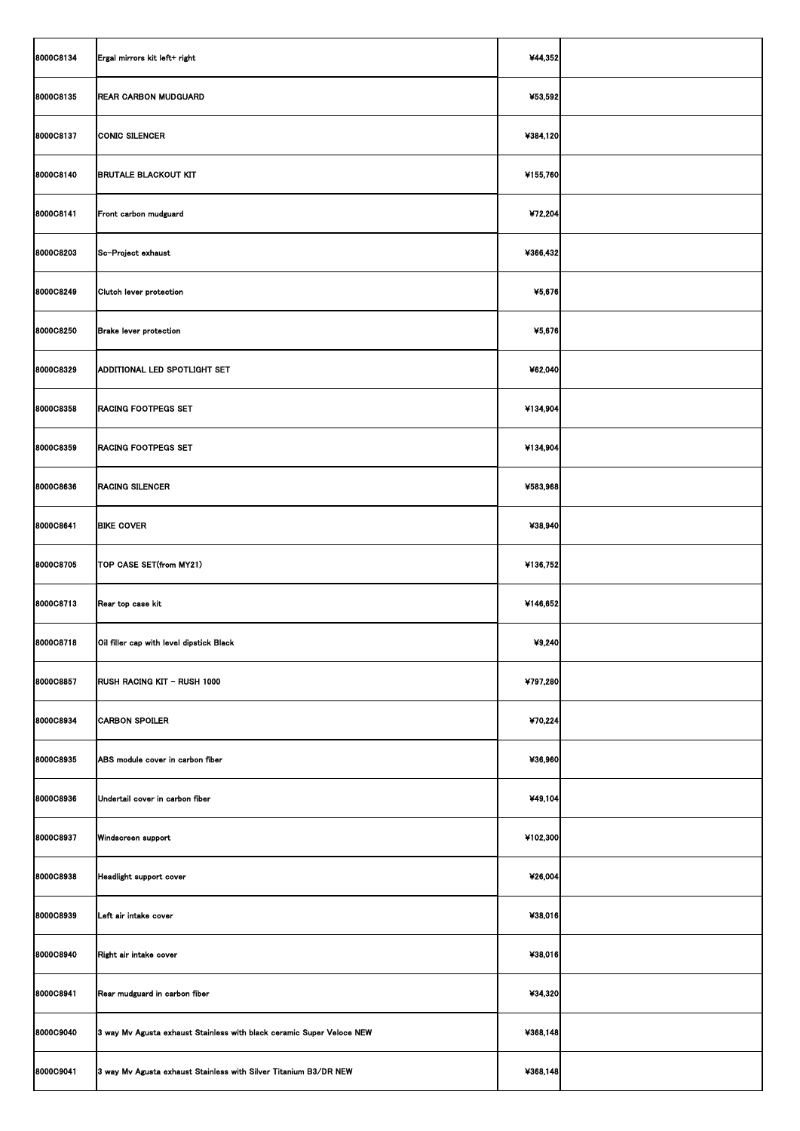| 8000C8134 | Ergal mirrors kit left+ right                                         | ¥44,352  |  |
|-----------|-----------------------------------------------------------------------|----------|--|
| 8000C8135 | <b>REAR CARBON MUDGUARD</b>                                           | ¥53,592  |  |
| 8000C8137 | <b>CONIC SILENCER</b>                                                 | ¥384,120 |  |
| 8000C8140 | <b>BRUTALE BLACKOUT KIT</b>                                           | ¥155,760 |  |
| 8000C8141 | Front carbon mudguard                                                 | ¥72,204  |  |
| 8000C8203 | Sc-Project exhaust                                                    | ¥366,432 |  |
| 8000C8249 | Clutch lever protection                                               | ¥5,676   |  |
| 8000C8250 | <b>Brake lever protection</b>                                         | ¥5,676   |  |
| 8000C8329 | ADDITIONAL LED SPOTLIGHT SET                                          | ¥62,040  |  |
| 8000C8358 | <b>RACING FOOTPEGS SET</b>                                            | ¥134,904 |  |
| 8000C8359 | <b>RACING FOOTPEGS SET</b>                                            | ¥134,904 |  |
| 8000C8636 | <b>RACING SILENCER</b>                                                | ¥583,968 |  |
| 8000C8641 | <b>BIKE COVER</b>                                                     | ¥38,940  |  |
| 8000C8705 | TOP CASE SET(from MY21)                                               | ¥136,752 |  |
| 8000C8713 | Rear top case kit                                                     | ¥146,652 |  |
| 8000C8718 | Oil filler cap with level dipstick Black                              | 49,240   |  |
| 8000C8857 | <b>RUSH RACING KIT - RUSH 1000</b>                                    | ¥797,280 |  |
| 8000C8934 | <b>CARBON SPOILER</b>                                                 | ¥70,224  |  |
| 8000C8935 | ABS module cover in carbon fiber                                      | ¥36,960  |  |
| 8000C8936 | Undertail cover in carbon fiber                                       | ¥49,104  |  |
| 8000C8937 | Windscreen support                                                    | ¥102,300 |  |
| 8000C8938 | Headlight support cover                                               | ¥26,004  |  |
| 8000C8939 | Left air intake cover                                                 | ¥38,016  |  |
| 8000C8940 | Right air intake cover                                                | ¥38,016  |  |
| 8000C8941 | Rear mudguard in carbon fiber                                         | ¥34,320  |  |
| 8000C9040 | 3 way Mv Agusta exhaust Stainless with black ceramic Super Veloce NEW | 4368,148 |  |
| 8000C9041 | 3 way Mv Agusta exhaust Stainless with Silver Titanium B3/DR NEW      | ¥368,148 |  |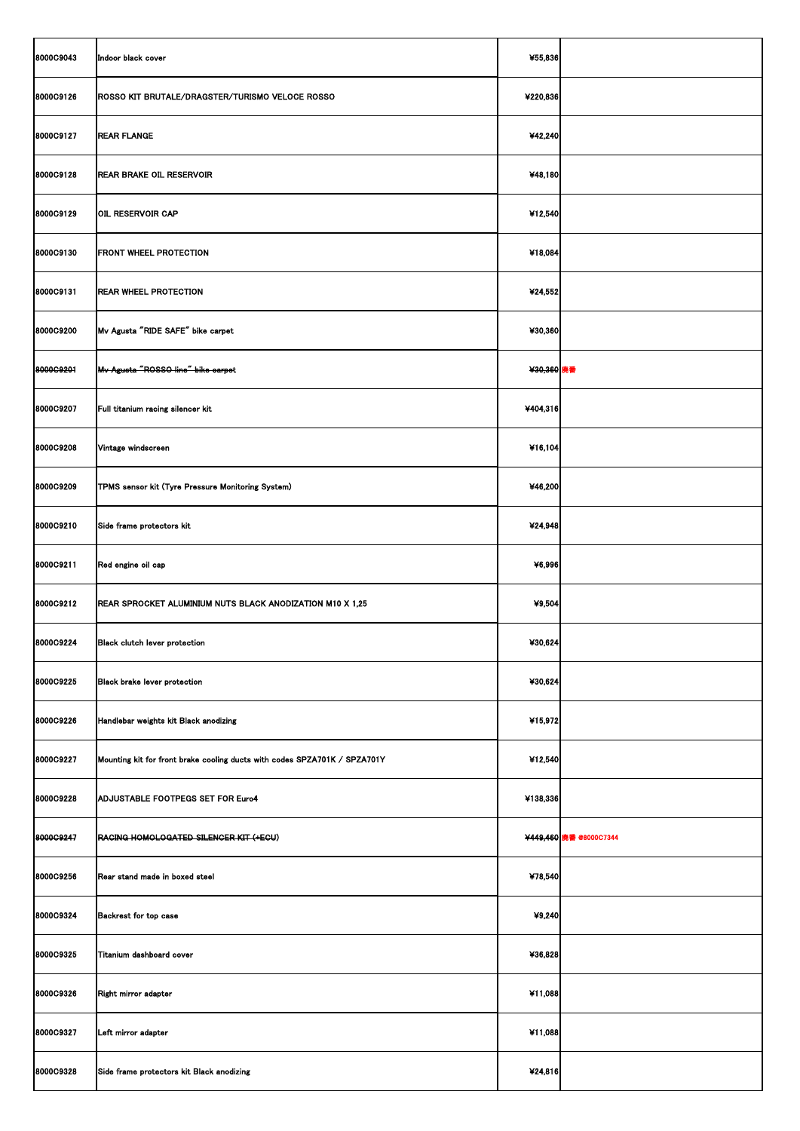| 8000C9043 | Indoor black cover                                                        | ¥55,836    |                        |
|-----------|---------------------------------------------------------------------------|------------|------------------------|
| 8000C9126 | ROSSO KIT BRUTALE/DRAGSTER/TURISMO VELOCE ROSSO                           | ¥220,836   |                        |
| 8000C9127 | <b>REAR FLANGE</b>                                                        | ¥42,240    |                        |
| 8000C9128 | <b>REAR BRAKE OIL RESERVOIR</b>                                           | ¥48,180    |                        |
| 8000C9129 | <b>OIL RESERVOIR CAP</b>                                                  | ¥12,540    |                        |
| 8000C9130 | <b>FRONT WHEEL PROTECTION</b>                                             | ¥18,084    |                        |
| 8000C9131 | <b>REAR WHEEL PROTECTION</b>                                              | ¥24,552    |                        |
| 8000C9200 | Mv Agusta "RIDE SAFE" bike carpet                                         | ¥30,360    |                        |
| 8000C9201 | Mv Agusta "ROSSO line" bike carpet                                        | ¥30,360 廃番 |                        |
| 8000C9207 | Full titanium racing silencer kit                                         | ¥404,316   |                        |
| 8000C9208 | Vintage windscreen                                                        | ¥16,104    |                        |
| 8000C9209 | TPMS sensor kit (Tyre Pressure Monitoring System)                         | ¥46,200    |                        |
| 8000C9210 | Side frame protectors kit                                                 | ¥24,948    |                        |
| 8000C9211 | Red engine oil cap                                                        | ¥6,996     |                        |
| 8000C9212 | <b>REAR SPROCKET ALUMINIUM NUTS BLACK ANODIZATION M10 X 1,25</b>          | ¥9,504     |                        |
| 8000C9224 | <b>Black clutch lever protection</b>                                      | ¥30,624    |                        |
| 8000C9225 | <b>Black brake lever protection</b>                                       | ¥30,624    |                        |
| 8000C9226 | Handlebar weights kit Black anodizing                                     | ¥15,972    |                        |
| 8000C9227 | Mounting kit for front brake cooling ducts with codes SPZA701K / SPZA701Y | ¥12,540    |                        |
| 8000C9228 | ADJUSTABLE FOOTPEGS SET FOR Euro4                                         | ¥138,336   |                        |
| 8000C9247 | RACING HOMOLOGATED SILENCER KIT (+ECU)                                    |            | ¥449,460 廃番 @8000C7344 |
| 8000C9256 | Rear stand made in boxed steel                                            | ¥78,540    |                        |
| 8000C9324 | <b>Backrest for top case</b>                                              | ¥9,240     |                        |
| 8000C9325 | Titanium dashboard cover                                                  | ¥36,828    |                        |
| 8000C9326 | Right mirror adapter                                                      | ¥11,088    |                        |
| 8000C9327 | Left mirror adapter                                                       | ¥11,088    |                        |
| 8000C9328 | Side frame protectors kit Black anodizing                                 | ¥24,816    |                        |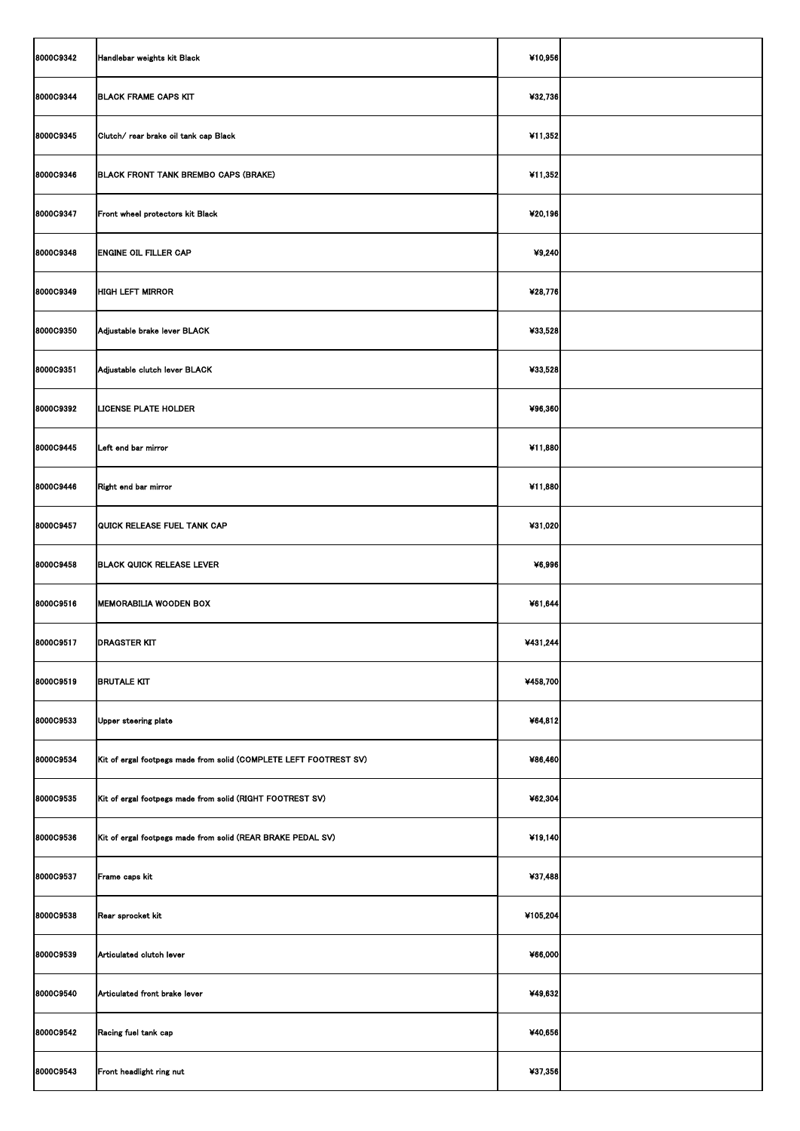| 8000C9342        | Handlebar weights kit Black                                       | ¥10,956  |  |
|------------------|-------------------------------------------------------------------|----------|--|
| 8000C9344        | <b>BLACK FRAME CAPS KIT</b>                                       | ¥32,736  |  |
| 8000C9345        | Clutch/ rear brake oil tank cap Black                             | ¥11,352  |  |
| <b>8000C9346</b> | <b>BLACK FRONT TANK BREMBO CAPS (BRAKE)</b>                       | ¥11,352  |  |
| 8000C9347        | Front wheel protectors kit Black                                  | ¥20,196  |  |
| 8000C9348        | <b>ENGINE OIL FILLER CAP</b>                                      | 49,240   |  |
| 8000C9349        | <b>HIGH LEFT MIRROR</b>                                           | ¥28,776  |  |
| 8000C9350        | Adjustable brake lever BLACK                                      | ¥33,528  |  |
| 8000C9351        | Adjustable clutch lever BLACK                                     | ¥33,528  |  |
| 8000C9392        | <b>LICENSE PLATE HOLDER</b>                                       | ¥96,360  |  |
| 8000C9445        | Left end bar mirror                                               | ¥11,880  |  |
| <b>8000C9446</b> | Right end bar mirror                                              | ¥11,880  |  |
| 8000C9457        | QUICK RELEASE FUEL TANK CAP                                       | ¥31,020  |  |
| <b>8000C9458</b> | <b>BLACK QUICK RELEASE LEVER</b>                                  | ¥6,996   |  |
| 8000C9516        | <b>MEMORABILIA WOODEN BOX</b>                                     | ¥61,644  |  |
| 8000C9517        | <b>DRAGSTER KIT</b>                                               | ¥431,244 |  |
| 8000C9519        | <b>BRUTALE KIT</b>                                                | ¥458,700 |  |
| 8000C9533        | Upper steering plate                                              | ¥64,812  |  |
| 8000C9534        | Kit of ergal footpegs made from solid (COMPLETE LEFT FOOTREST SV) | ¥86,460  |  |
| 8000C9535        | Kit of ergal footpegs made from solid (RIGHT FOOTREST SV)         | ¥62,304  |  |
| 8000C9536        | Kit of ergal footpegs made from solid (REAR BRAKE PEDAL SV)       | ¥19,140  |  |
| 8000C9537        | Frame caps kit                                                    | ¥37,488  |  |
| <b>8000C9538</b> | Rear sprocket kit                                                 | ¥105,204 |  |
| 8000C9539        | Articulated clutch lever                                          | ¥66,000  |  |
| 8000C9540        | Articulated front brake lever                                     | ¥49,632  |  |
| 8000C9542        | Racing fuel tank cap                                              | ¥40,656  |  |
| 8000C9543        | Front headlight ring nut                                          | ¥37,356  |  |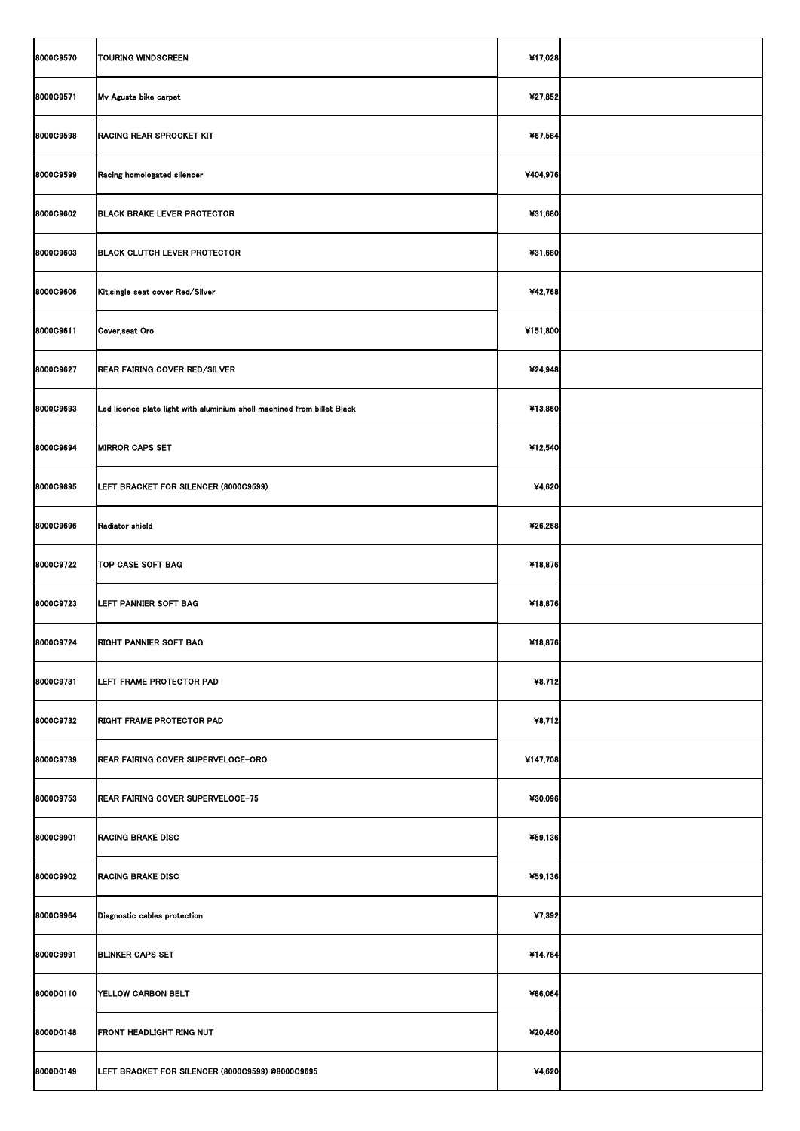| 8000C9570 | <b>TOURING WINDSCREEN</b>                                               | ¥17,028  |  |
|-----------|-------------------------------------------------------------------------|----------|--|
| 8000C9571 | Mv Agusta bike carpet                                                   | ¥27,852  |  |
| 8000C9598 | <b>RACING REAR SPROCKET KIT</b>                                         | ¥67,584  |  |
| 8000C9599 | Racing homologated silencer                                             | ¥404,976 |  |
| 8000C9602 | <b>BLACK BRAKE LEVER PROTECTOR</b>                                      | ¥31,680  |  |
| 8000C9603 | <b>BLACK CLUTCH LEVER PROTECTOR</b>                                     | ¥31,680  |  |
| 8000C9606 | Kit, single seat cover Red/Silver                                       | ¥42,768  |  |
| 8000C9611 | Cover, seat Oro                                                         | ¥151,800 |  |
| 8000C9627 | <b>REAR FAIRING COVER RED/SILVER</b>                                    | ¥24,948  |  |
| 8000C9693 | Led licence plate light with aluminium shell machined from billet Black | ¥13,860  |  |
| 8000C9694 | <b>MIRROR CAPS SET</b>                                                  | ¥12,540  |  |
| 8000C9695 | LEFT BRACKET FOR SILENCER (8000C9599)                                   | ¥4,620   |  |
| 8000C9696 | Radiator shield                                                         | ¥26,268  |  |
| 8000C9722 | <b>TOP CASE SOFT BAG</b>                                                | ¥18,876  |  |
| 8000C9723 | LEFT PANNIER SOFT BAG                                                   | ¥18,876  |  |
| 8000C9724 | <b>RIGHT PANNIER SOFT BAG</b>                                           | ¥18,876  |  |
| 8000C9731 | LEFT FRAME PROTECTOR PAD                                                | ¥8,712   |  |
| 8000C9732 | <b>RIGHT FRAME PROTECTOR PAD</b>                                        | ¥8,712   |  |
| 8000C9739 | <b>REAR FAIRING COVER SUPERVELOCE-ORO</b>                               | ¥147,708 |  |
| 8000C9753 | REAR FAIRING COVER SUPERVELOCE-75                                       | ¥30,096  |  |
| 8000C9901 | <b>RACING BRAKE DISC</b>                                                | ¥59,136  |  |
| 8000C9902 | <b>RACING BRAKE DISC</b>                                                | ¥59,136  |  |
| 8000C9964 | Diagnostic cables protection                                            | ¥7,392   |  |
| 8000C9991 | <b>BLINKER CAPS SET</b>                                                 | ¥14,784  |  |
| 8000D0110 | YELLOW CARBON BELT                                                      | ¥86,064  |  |
| 8000D0148 | <b>FRONT HEADLIGHT RING NUT</b>                                         | ¥20,460  |  |
| 8000D0149 | LEFT BRACKET FOR SILENCER (8000C9599) @8000C9695                        | ¥4,620   |  |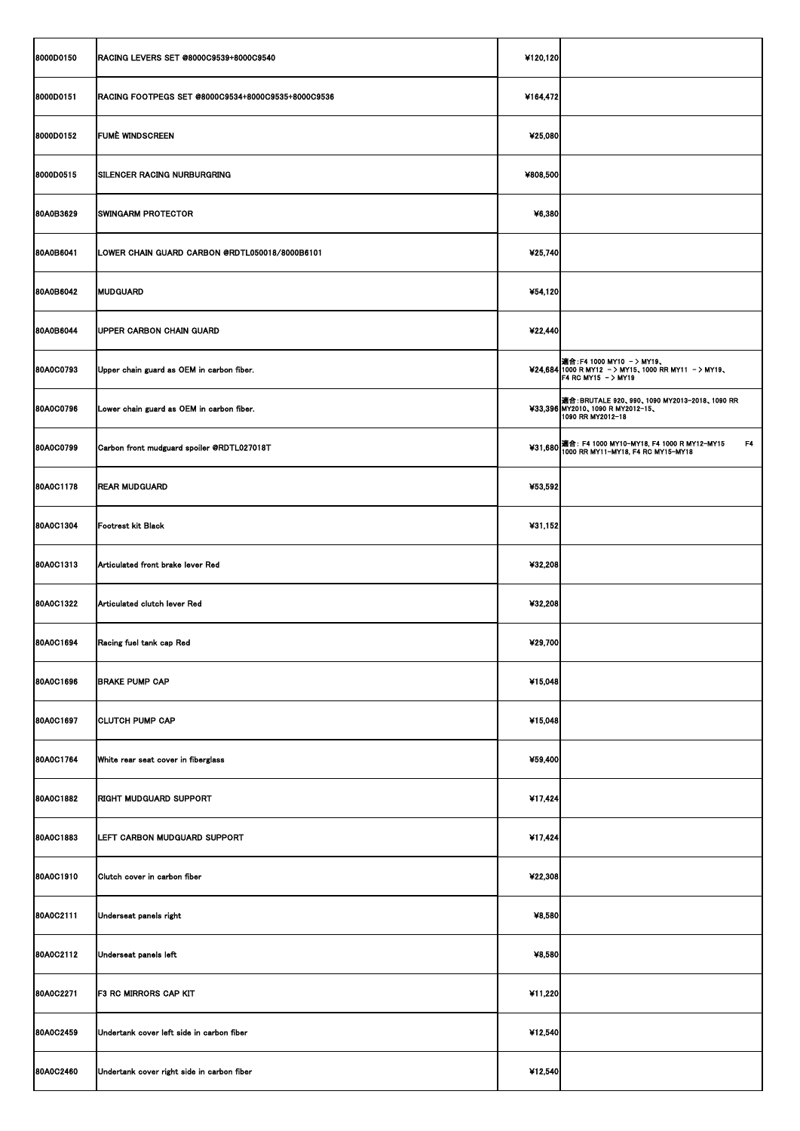| 8000D0150        | <b>RACING LEVERS SET @8000C9539+8000C9540</b>      | ¥120,120 |                                                                                                                       |
|------------------|----------------------------------------------------|----------|-----------------------------------------------------------------------------------------------------------------------|
| 8000D0151        | RACING FOOTPEGS SET @8000C9534+8000C9535+8000C9536 | ¥164,472 |                                                                                                                       |
| 8000D0152        | <b>FUME WINDSCREEN</b>                             | ¥25,080  |                                                                                                                       |
| 8000D0515        | <b>SILENCER RACING NURBURGRING</b>                 | ¥808,500 |                                                                                                                       |
| 80A0B3629        | <b>SWINGARM PROTECTOR</b>                          | ¥6,380   |                                                                                                                       |
| 80A0B6041        | LOWER CHAIN GUARD CARBON @RDTL050018/8000B6101     | ¥25,740  |                                                                                                                       |
| 80A0B6042        | <b>MUDGUARD</b>                                    | ¥54,120  |                                                                                                                       |
| 80A0B6044        | <b>UPPER CARBON CHAIN GUARD</b>                    | ¥22,440  |                                                                                                                       |
| 80A0C0793        | Upper chain guard as OEM in carbon fiber.          |          | <b> 適合:F4 1000 MY10 - &gt; MY19、</b><br>¥24,684 1000 R MY12 - > MY15, 1000 RR MY11 - > MY19,<br>F4 RC MY15 $-$ > MY19 |
| 80A0C0796        | Lower chain guard as OEM in carbon fiber.          |          | ▌適合: BRUTALE 920、990、1090 MY2013-2018、1090 RR<br>¥33,396 MY2010, 1090 R MY2012-15,<br>1090 RR MY2012-18               |
| 80A0C0799        | Carbon front mudguard spoiler @RDTL027018T         |          | F <sub>4</sub><br>¥31,680 適合: F4 1000 MY10-MY18, F4 1000 R MY12-MY15<br>1000 RR MY11-MY18, F4 RC MY15-MY18            |
| 80A0C1178        | <b>REAR MUDGUARD</b>                               | ¥53,592  |                                                                                                                       |
| 80A0C1304        | <b>Footrest kit Black</b>                          | ¥31,152  |                                                                                                                       |
| <b>80A0C1313</b> | Articulated front brake lever Red                  | ¥32,208  |                                                                                                                       |
| 80A0C1322        | Articulated clutch lever Red                       | ¥32,208  |                                                                                                                       |
| 80A0C1694        | Racing fuel tank cap Red                           | ¥29,700  |                                                                                                                       |
| <b>80A0C1696</b> | <b>BRAKE PUMP CAP</b>                              | ¥15,048  |                                                                                                                       |
| 80A0C1697        | <b>CLUTCH PUMP CAP</b>                             | ¥15,048  |                                                                                                                       |
| 80A0C1764        | White rear seat cover in fiberglass                | ¥59,400  |                                                                                                                       |
| 80A0C1882        | <b>RIGHT MUDGUARD SUPPORT</b>                      | ¥17,424  |                                                                                                                       |
| 80A0C1883        | LEFT CARBON MUDGUARD SUPPORT                       | ¥17,424  |                                                                                                                       |
| 80A0C1910        | Clutch cover in carbon fiber                       | ¥22,308  |                                                                                                                       |
| 80A0C2111        | Underseat panels right                             | ¥8,580   |                                                                                                                       |
| 80A0C2112        | Underseat panels left                              | ¥8,580   |                                                                                                                       |
| 80A0C2271        | <b>F3 RC MIRRORS CAP KIT</b>                       | ¥11,220  |                                                                                                                       |
| 80A0C2459        | Undertank cover left side in carbon fiber          | ¥12,540  |                                                                                                                       |
| 80A0C2460        | Undertank cover right side in carbon fiber         | ¥12,540  |                                                                                                                       |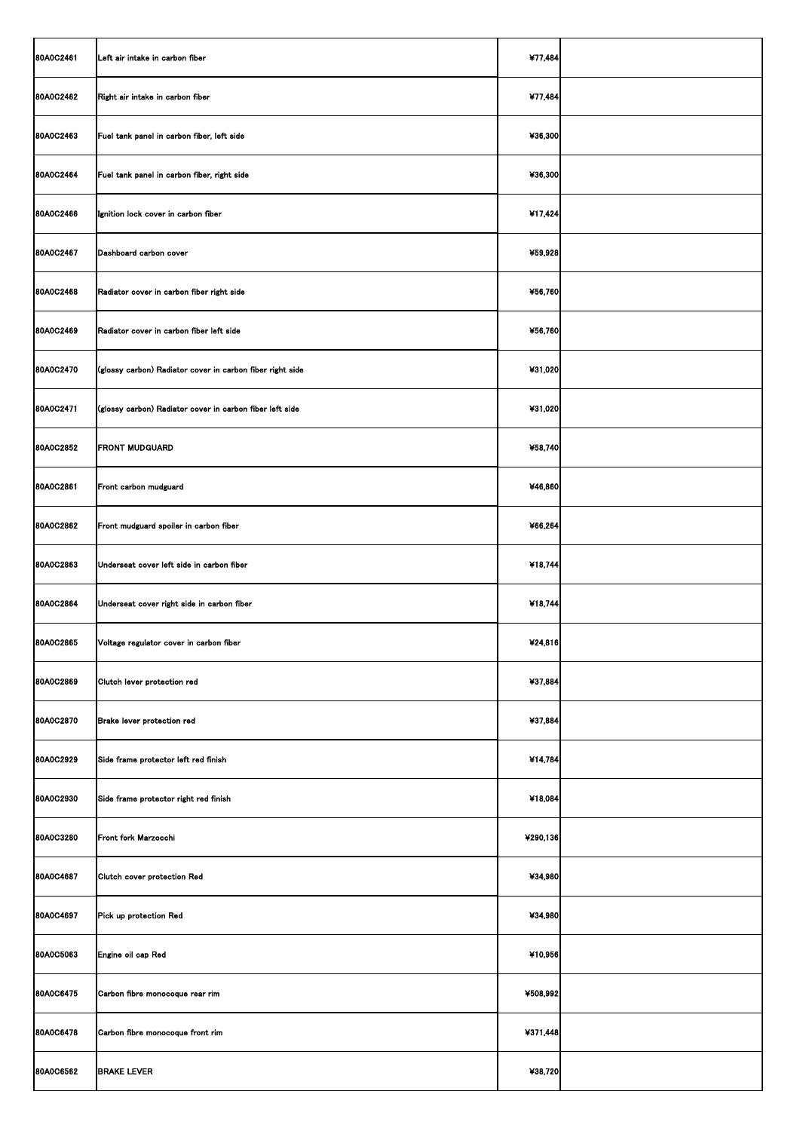| 80A0C2461        | Left air intake in carbon fiber                           | ¥77,484  |  |
|------------------|-----------------------------------------------------------|----------|--|
| 80A0C2462        | Right air intake in carbon fiber                          | ¥77,484  |  |
| 80A0C2463        | Fuel tank panel in carbon fiber, left side                | ¥36,300  |  |
| 80A0C2464        | Fuel tank panel in carbon fiber, right side               | ¥36,300  |  |
| 80A0C2466        | Ignition lock cover in carbon fiber                       | ¥17,424  |  |
| 80A0C2467        | Dashboard carbon cover                                    | ¥59,928  |  |
| 80A0C2468        | Radiator cover in carbon fiber right side                 | ¥56,760  |  |
| 80A0C2469        | Radiator cover in carbon fiber left side                  | ¥56,760  |  |
| 80A0C2470        | (glossy carbon) Radiator cover in carbon fiber right side | ¥31,020  |  |
| 80A0C2471        | (glossy carbon) Radiator cover in carbon fiber left side  | ¥31,020  |  |
| 80A0C2852        | <b>FRONT MUDGUARD</b>                                     | ¥58,740  |  |
| 80A0C2861        | Front carbon mudguard                                     | ¥46,860  |  |
| 80A0C2862        | Front mudguard spoiler in carbon fiber                    | ¥66,264  |  |
| 80A0C2863        | Underseat cover left side in carbon fiber                 | ¥18,744  |  |
| 80A0C2864        | Underseat cover right side in carbon fiber                | ¥18,744  |  |
| 80A0C2865        | Voltage regulator cover in carbon fiber                   | ¥24,816  |  |
| 80A0C2869        | Clutch lever protection red                               | ¥37,884  |  |
| 80A0C2870        | Brake lever protection red                                | ¥37,884  |  |
| 80A0C2929        | Side frame protector left red finish                      | ¥14,784  |  |
| 80A0C2930        | Side frame protector right red finish                     | ¥18,084  |  |
| 80A0C3280        | Front fork Marzocchi                                      | ¥290,136 |  |
| 80A0C4687        | Clutch cover protection Red                               | ¥34,980  |  |
| 80A0C4697        | Pick up protection Red                                    | ¥34,980  |  |
| 80A0C5063        | Engine oil cap Red                                        | ¥10,956  |  |
| 80A0C6475        | Carbon fibre monocoque rear rim                           | ¥508,992 |  |
| 80A0C6478        | Carbon fibre monocoque front rim                          | ¥371,448 |  |
| <b>80A0C6562</b> | <b>BRAKE LEVER</b>                                        | ¥38,720  |  |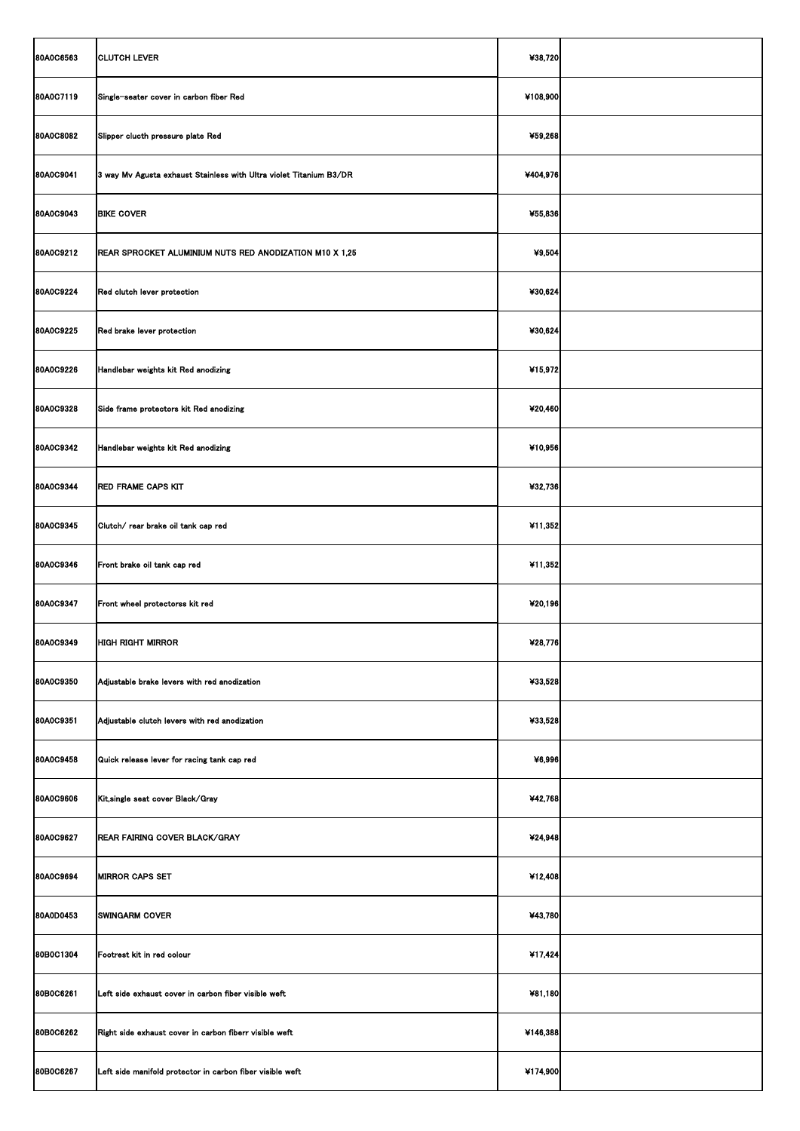| 80A0C6563        | <b>CLUTCH LEVER</b>                                                | ¥38,720  |  |
|------------------|--------------------------------------------------------------------|----------|--|
| 80A0C7119        | Single-seater cover in carbon fiber Red                            | ¥108,900 |  |
| <b>80A0C8082</b> | Slipper clucth pressure plate Red                                  | ¥59,268  |  |
| 80A0C9041        | 3 way Mv Agusta exhaust Stainless with Ultra violet Titanium B3/DR | ¥404,976 |  |
| 80A0C9043        | <b>BIKE COVER</b>                                                  | ¥55,836  |  |
| 80A0C9212        | REAR SPROCKET ALUMINIUM NUTS RED ANODIZATION M10 X 1,25            | 49,504   |  |
| 80A0C9224        | Red clutch lever protection                                        | ¥30,624  |  |
| 80A0C9225        | Red brake lever protection                                         | ¥30,624  |  |
| 80A0C9226        | Handlebar weights kit Red anodizing                                | ¥15,972  |  |
| 80A0C9328        | Side frame protectors kit Red anodizing                            | ¥20,460  |  |
| 80A0C9342        | Handlebar weights kit Red anodizing                                | ¥10,956  |  |
| 80A0C9344        | <b>RED FRAME CAPS KIT</b>                                          | ¥32,736  |  |
| 80A0C9345        | Clutch/ rear brake oil tank cap red                                | ¥11,352  |  |
| 80A0C9346        | Front brake oil tank cap red                                       | ¥11,352  |  |
| 80A0C9347        | Front wheel protectorss kit red                                    | ¥20,196  |  |
| 80A0C9349        | <b>HIGH RIGHT MIRROR</b>                                           | ¥28,776  |  |
| <b>80A0C9350</b> | Adjustable brake levers with red anodization                       | ¥33,528  |  |
| 80A0C9351        | Adjustable clutch levers with red anodization                      | ¥33,528  |  |
| 80A0C9458        | Quick release lever for racing tank cap red                        | ¥6,996   |  |
| <b>80A0C9606</b> | Kit, single seat cover Black/Gray                                  | ¥42,768  |  |
| 80A0C9627        | <b>REAR FAIRING COVER BLACK/GRAY</b>                               | ¥24,948  |  |
| 80A0C9694        | <b>MIRROR CAPS SET</b>                                             | ¥12,408  |  |
| 80A0D0453        | <b>SWINGARM COVER</b>                                              | ¥43,780  |  |
| 80B0C1304        | Footrest kit in red colour                                         | ¥17,424  |  |
| 80B0C6261        | Left side exhaust cover in carbon fiber visible weft               | ¥81,180  |  |
| 80B0C6262        | Right side exhaust cover in carbon fiberr visible weft             | ¥146,388 |  |
| 80B0C6267        | Left side manifold protector in carbon fiber visible weft          | ¥174,900 |  |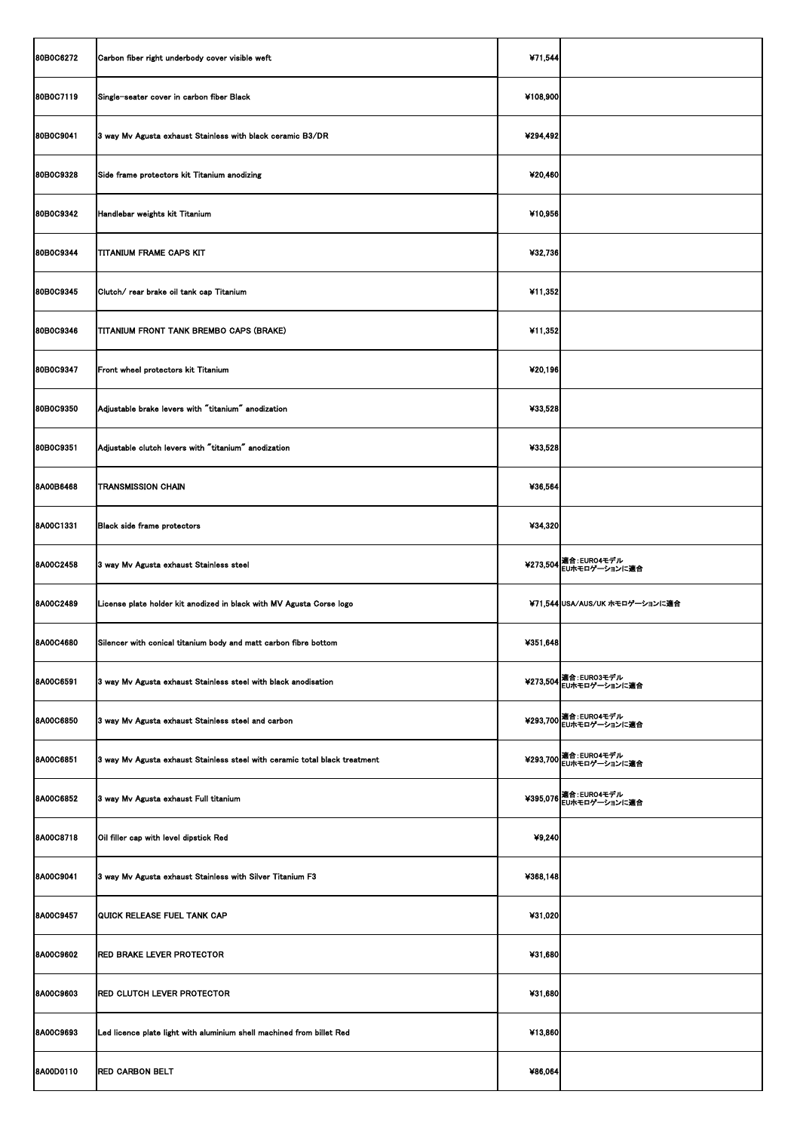| 80B0C6272        | Carbon fiber right underbody cover visible weft                            | ¥71,544   |                                                 |
|------------------|----------------------------------------------------------------------------|-----------|-------------------------------------------------|
| 80B0C7119        | Single-seater cover in carbon fiber Black                                  | ¥108,900  |                                                 |
| 80B0C9041        | 3 way Mv Agusta exhaust Stainless with black ceramic B3/DR                 | ¥294,492  |                                                 |
| 80B0C9328        | Side frame protectors kit Titanium anodizing                               | ¥20,460   |                                                 |
| 80B0C9342        | Handlebar weights kit Titanium                                             | $*10,956$ |                                                 |
| 80B0C9344        | <b>TITANIUM FRAME CAPS KIT</b>                                             | ¥32,736   |                                                 |
| 80B0C9345        | Clutch/ rear brake oil tank cap Titanium                                   | ¥11,352   |                                                 |
| 80B0C9346        | TITANIUM FRONT TANK BREMBO CAPS (BRAKE)                                    | ¥11,352   |                                                 |
| 80B0C9347        | Front wheel protectors kit Titanium                                        | ¥20,196   |                                                 |
| 80B0C9350        | Adjustable brake levers with "titanium" anodization                        | ¥33,528   |                                                 |
| 80B0C9351        | Adjustable clutch levers with "titanium" anodization                       | ¥33,528   |                                                 |
| <b>8A00B6468</b> | TRANSMISSION CHAIN                                                         | ¥36,564   |                                                 |
| <b>8A00C1331</b> | <b>Black side frame protectors</b>                                         | ¥34,320   |                                                 |
| <b>8A00C2458</b> | 3 way Mv Agusta exhaust Stainless steel                                    |           | ¥273,504 適合: EURO4モデル<br>EUホモロゲーションに適合          |
| <b>8A00C2489</b> | License plate holder kit anodized in black with MV Agusta Corse logo       |           | ¥71,544 USA/AUS/UK ホモロゲーションに適合                  |
| <b>8A00C4680</b> | Silencer with conical titanium body and matt carbon fibre bottom           | ¥351,648  |                                                 |
| <b>8A00C6591</b> | 3 way Mv Agusta exhaust Stainless steel with black anodisation             |           | ¥273,504 適合: EURO3モデル<br>¥273,504 EUホモロゲーションに適合 |
| <b>8A00C6850</b> | 3 way Mv Agusta exhaust Stainless steel and carbon                         |           | ¥293,700 適合: EURO4モデル<br>¥293,700 EUホモロゲーションに適合 |
| <b>8A00C6851</b> | 3 way Mv Agusta exhaust Stainless steel with ceramic total black treatment |           | ¥293,700   適合: EURO4モデル<br>  EUホモロゲーションに適合      |
| <b>8A00C6852</b> | 3 way Mv Agusta exhaust Full titanium                                      |           | ¥395,076 超合: EURO4モデル<br>EUホモロゲーションに適合          |
| <b>8A00C8718</b> | Oil filler cap with level dipstick Red                                     | ¥9,240    |                                                 |
| <b>8A00C9041</b> | 3 way Mv Agusta exhaust Stainless with Silver Titanium F3                  | ¥368,148  |                                                 |
| <b>8A00C9457</b> | QUICK RELEASE FUEL TANK CAP                                                | ¥31,020   |                                                 |
| <b>8A00C9602</b> | <b>RED BRAKE LEVER PROTECTOR</b>                                           | ¥31,680   |                                                 |
| <b>8A00C9603</b> | <b>RED CLUTCH LEVER PROTECTOR</b>                                          | ¥31,680   |                                                 |
| <b>8A00C9693</b> | Led licence plate light with aluminium shell machined from billet Red      | ¥13,860   |                                                 |
| 8A00D0110        | <b>RED CARBON BELT</b>                                                     | ¥86,064   |                                                 |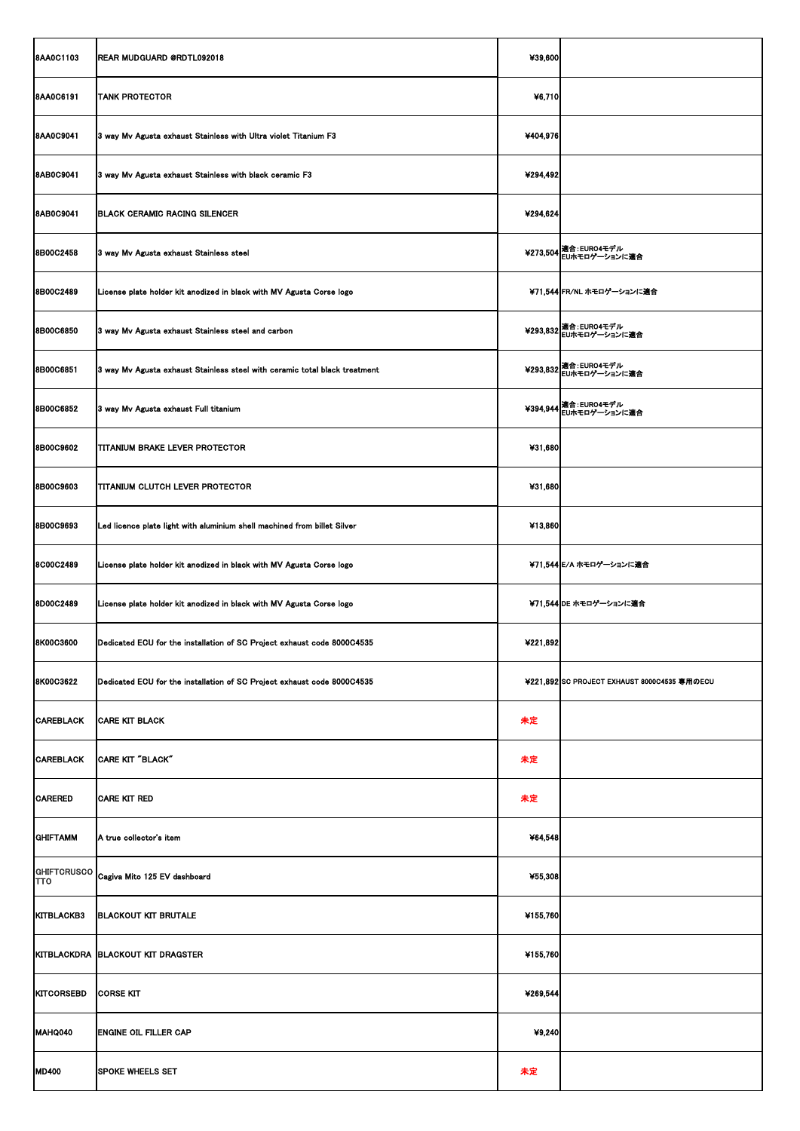| <b>8AA0C1103</b>     | <b>REAR MUDGUARD @RDTL092018</b>                                           | ¥39,600  |                                              |
|----------------------|----------------------------------------------------------------------------|----------|----------------------------------------------|
| <b>8AA0C6191</b>     | <b>TANK PROTECTOR</b>                                                      | ¥6,710   |                                              |
| <b>8AA0C9041</b>     | 3 way Mv Agusta exhaust Stainless with Ultra violet Titanium F3            | ¥404,976 |                                              |
| <b>8AB0C9041</b>     | 3 way Mv Agusta exhaust Stainless with black ceramic F3                    | ¥294,492 |                                              |
| <b>8AB0C9041</b>     | <b>BLACK CERAMIC RACING SILENCER</b>                                       | ¥294,624 |                                              |
| <b>8B00C2458</b>     | 3 way Mv Agusta exhaust Stainless steel                                    |          | ¥273,504 適合:EURO4モデル<br>EUホモロゲーションに適合        |
| <b>8B00C2489</b>     | License plate holder kit anodized in black with MV Agusta Corse logo       |          | ¥71,544 FR/NL ホモロゲーションに適合                    |
| <b>8B00C6850</b>     | 3 way Mv Agusta exhaust Stainless steel and carbon                         |          | ¥293,832   適合: EURO4モデル<br>  EUホモロゲーションに適合   |
| <b>8B00C6851</b>     | 3 way Mv Agusta exhaust Stainless steel with ceramic total black treatment |          | ¥293,832   適合: EURO4モデル<br>  EUホモロゲーションに適合   |
| <b>8B00C6852</b>     | 3 way Mv Agusta exhaust Full titanium                                      |          | ¥394,944   適合: EURO4モデル<br>  EUホモロゲーションに適合   |
| <b>8B00C9602</b>     | <b>TITANIUM BRAKE LEVER PROTECTOR</b>                                      | ¥31,680  |                                              |
| <b>8B00C9603</b>     | <b>TITANIUM CLUTCH LEVER PROTECTOR</b>                                     | ¥31,680  |                                              |
| <b>8B00C9693</b>     | Led licence plate light with aluminium shell machined from billet Silver   | ¥13,860  |                                              |
| 8C00C2489            | License plate holder kit anodized in black with MV Agusta Corse logo       |          | ¥71,544 E/A ホモロゲーションに適合                      |
| <b>8D00C2489</b>     | License plate holder kit anodized in black with MV Agusta Corse logo       |          | ¥71,544 DE ホモロゲーションに適合                       |
| <b>8K00C3600</b>     | Dedicated ECU for the installation of SC Project exhaust code 8000C4535    | ¥221,892 |                                              |
| <b>8K00C3622</b>     | Dedicated ECU for the installation of SC Project exhaust code 8000C4535    |          | ¥221,892 SC PROJECT EXHAUST 8000C4535 専用のECU |
| <b>CAREBLACK</b>     | <b>CARE KIT BLACK</b>                                                      | 未定       |                                              |
| <b>CAREBLACK</b>     | CARE KIT "BLACK"                                                           | 未定       |                                              |
| <b>CARERED</b>       | <b>CARE KIT RED</b>                                                        | 未定       |                                              |
| <b>GHIFTAMM</b>      | A true collector's item                                                    | ¥64,548  |                                              |
| <b>TTO</b>           | GHIFTCRUSCO Cagiva Mito 125 EV dashboard                                   | ¥55,308  |                                              |
| KITBLACKB3           | <b>BLACKOUT KIT BRUTALE</b>                                                | ¥155,760 |                                              |
|                      | KITBLACKDRA BLACKOUT KIT DRAGSTER                                          | ¥155,760 |                                              |
| KITCORSEBD CORSE KIT |                                                                            | 4269,544 |                                              |
| MAHQ040              | <b>ENGINE OIL FILLER CAP</b>                                               | ¥9,240   |                                              |
| <b>MD400</b>         | <b>SPOKE WHEELS SET</b>                                                    | 未定       |                                              |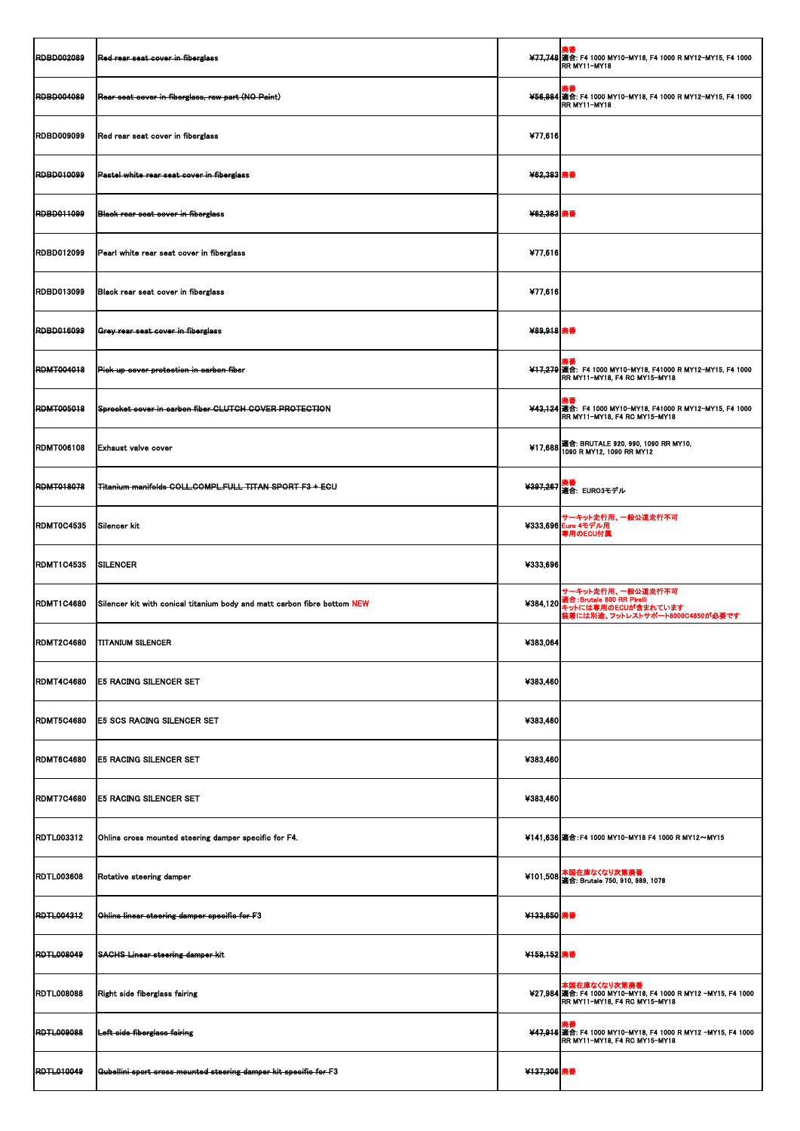| <b>RDBD002089</b> | Red rear seat cover in fiberglass                                        |             | 廃番<br>¥77,748 適合: F4 1000 MY10-MY18, F4 1000 R MY12-MY15, F4 1000<br><b>IRR MY11-MY18</b>                          |
|-------------------|--------------------------------------------------------------------------|-------------|--------------------------------------------------------------------------------------------------------------------|
| <b>RDBD004089</b> | Rear seat cover in fiberglass, raw part (NO Paint)                       |             | 廃番<br>¥56,984 適合: F4 1000 MY10-MY18, F4 1000 R MY12-MY15, F4 1000<br>RR MY11-MY18                                  |
| <b>RDBD009099</b> | Red rear seat cover in fiberglass                                        | ¥77,616     |                                                                                                                    |
| <b>RDBD010099</b> | <b>Pastel white rear seat oover in fiberglass</b>                        | ¥62,383 廃番  |                                                                                                                    |
| <b>RDBD011099</b> | <b>Black rear seat cover in fiberglass</b>                               | ¥62,383 廃番  |                                                                                                                    |
| <b>RDBD012099</b> | Pearl white rear seat cover in fiberglass                                | ¥77,616     |                                                                                                                    |
| <b>RDBD013099</b> | Black rear seat cover in fiberglass                                      | ¥77,616     |                                                                                                                    |
| <b>RDBD016099</b> | Grey rear seat cover in fiberglass                                       | ¥89,918 廃番  |                                                                                                                    |
| <b>RDMT004018</b> | Pick up cover protection in carbon fiber                                 |             | 廃番<br>¥17,279 適合: F4 1000 MY10-MY18, F41000 R MY12-MY15, F4 1000<br>RR MY11-MY18, F4 RC MY15-MY18                  |
| <b>RDMT005018</b> | Sprocket cover in carbon fiber CLUTCH COVER PROTECTION                   |             | 廃番<br>¥43,124 適合: F4 1000 MY10-MY18, F41000 R MY12-MY15, F4 1000<br>RR MY11-MY18, F4 RC MY15-MY18                  |
| <b>RDMT006108</b> | <b>Exhaust valve cover</b>                                               |             | ¥17,688 適合: BRUTALE 920, 990, 1090 RR MY10,<br>1090 R MY12, 1090 RR MY12                                           |
| <b>RDMT018078</b> | Titanium manifolds COLL.COMPL.FULL TITAN SPORT F3 + ECU                  |             | <del>¥397,26</del> 7  廃番<br>- 適合: EURO3モデル                                                                         |
| RDMT0C4535        | Silencer kit                                                             |             | サーキット走行用、一般公道走行不可<br>¥333,696 Euro 4モデル用<br>専用のECU付属                                                               |
| <b>RDMT1C4535</b> | <b>SILENCER</b>                                                          | ¥333,696    |                                                                                                                    |
| <b>RDMT1C4680</b> | Silencer kit with conical titanium body and matt carbon fibre bottom NEW |             | サーキット走行用、一般公道走行不可<br>¥384,120 適合: Brutale 800 RR Pirelli<br>キットには専用のECUが含まれています<br>装着には別途、フットレストサポート8000C4850が必要です |
| <b>RDMT2C4680</b> | <b>TITANIUM SILENCER</b>                                                 | ¥383,064    |                                                                                                                    |
| RDMT4C4680        | <b>IE5 RACING SILENCER SET</b>                                           | ¥383,460    |                                                                                                                    |
| <b>RDMT5C4680</b> | <b>E5 SCS RACING SILENCER SET</b>                                        | ¥383,460    |                                                                                                                    |
| RDMT6C4680        | <b>E5 RACING SILENCER SET</b>                                            | ¥383,460    |                                                                                                                    |
| <b>RDMT7C4680</b> | <b>E5 RACING SILENCER SET</b>                                            | ¥383,460    |                                                                                                                    |
| <b>RDTL003312</b> | Ohlins cross mounted steering damper specific for F4.                    |             | ¥141,636 適合: F4 1000 MY10-MY18 F4 1000 R MY12~MY15                                                                 |
| <b>RDTL003608</b> | Rotative steering damper                                                 |             | ¥101,508 本国在庫なくなり次第廃番<br>- 通合: Brutale 750, 910, 989, 1078                                                         |
| <b>RDTL004312</b> | Ohlins linear steering damper specific for F3                            | ¥133,650 廃番 |                                                                                                                    |
| <b>RDTL008049</b> | <b>SACHS Linear steering damper kit</b>                                  | ¥159,152 廃番 |                                                                                                                    |
|                   | RDTL008088 Right side fiberglass fairing                                 |             | 本国在庫なくなり次第廃番<br>¥27,984 適合: F4 1000 MY10-MY18, F4 1000 R MY12 -MY15, F4 1000<br>RR MY11-MY18, F4 RC MY15-MY18      |
| <b>RDTL009088</b> | Left side fiberglass fairing                                             |             | 廃番<br>¥47,916 適合: F4 1000 MY10-MY18, F4 1000 R MY12 -MY15, F4 1000<br><b>RR MY11-MY18, F4 RC MY15-MY18</b>         |
| <b>RDTL010049</b> | Gubellini sport cross mounted steering damper kit specific for F3        | ¥137,306 廃番 |                                                                                                                    |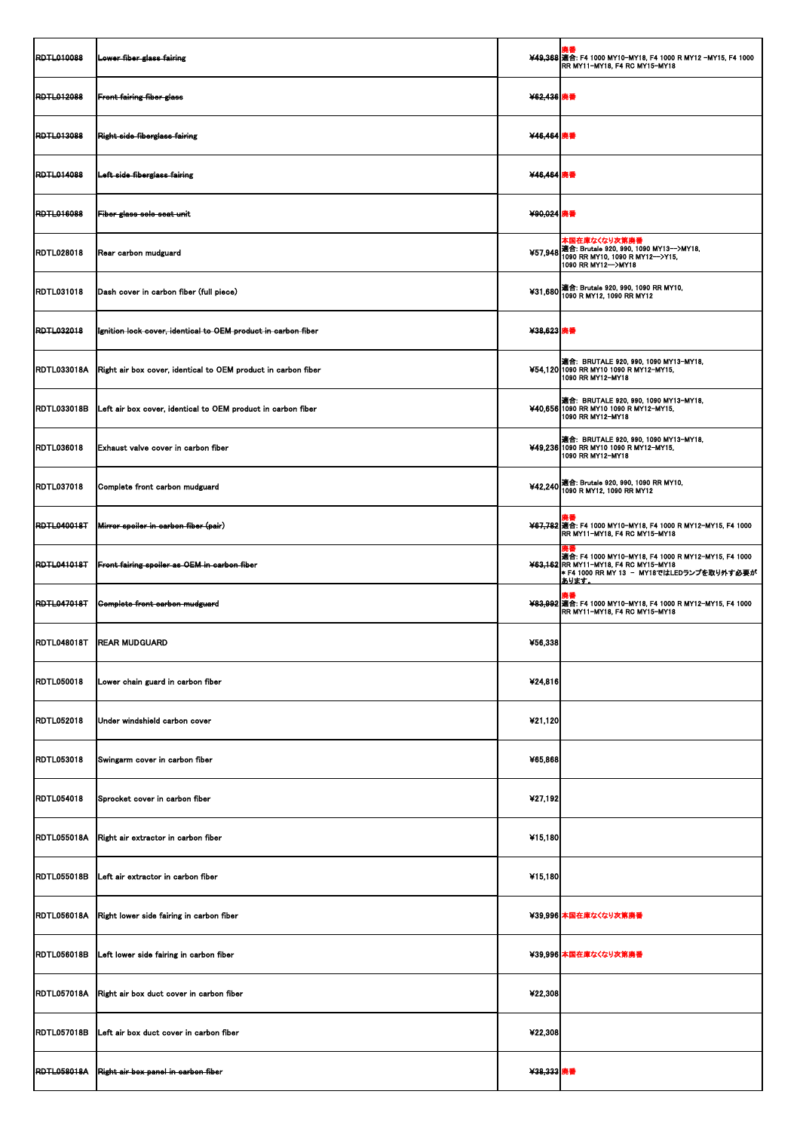| <b>RDTL010088</b>  | Lower fiber glass fairing                                                 |            | ¥49,368 適合: F4 1000 MY10-MY18, F4 1000 R MY12 -MY15, F4 1000<br>RR MY11-MY18, F4 RC MY15-MY18                                                                          |
|--------------------|---------------------------------------------------------------------------|------------|------------------------------------------------------------------------------------------------------------------------------------------------------------------------|
| <b>RDTL012088</b>  | <b>Front fairing fiber glass</b>                                          | ¥62,436 廃番 |                                                                                                                                                                        |
| <b>RDTL013088</b>  | Right side fiberglass fairing                                             | ¥46,464 廃番 |                                                                                                                                                                        |
| <b>RDTL014088</b>  | Left side fiberglass fairing                                              | ¥46,464 廃番 |                                                                                                                                                                        |
| <b>RDTL016088</b>  | <b>Fiber glass solo seat unit</b>                                         | ¥90,024 廃番 |                                                                                                                                                                        |
| <b>RDTL028018</b>  | Rear carbon mudguard                                                      |            | 本国在庫なくなり次第廃番<br>¥57,948 適合: Brutale 920, 990, 1090 MY13-->MY18,<br>1090 RR MY10, 1090 R MY12-->Y15,<br>1090 RR MY12-->MY18                                             |
| <b>RDTL031018</b>  | Dash cover in carbon fiber (full piece)                                   |            | ¥31,680 適合: Brutale 920, 990, 1090 RR MY10,<br>1090 R MY12, 1090 RR MY12                                                                                               |
| <b>RDTL032018</b>  | Ignition lock cover, identical to OEM product in carbon fiber             | ¥38,623 廃番 |                                                                                                                                                                        |
|                    | RDTL033018A Right air box cover, identical to OEM product in carbon fiber |            | <b>適合: BRUTALE 920, 990, 1090 MY13-MY18,</b><br>¥54,120 1090 RR MY10 1090 R MY12-MY15,<br>1090 RR MY12-MY18                                                            |
| <b>RDTL033018B</b> | Left air box cover, identical to OEM product in carbon fiber              |            | <b>適合: BRUTALE 920, 990, 1090 MY13-MY18,</b><br>¥40,656 1090 RR MY10 1090 R MY12-MY15,<br>1090 RR MY12-MY18                                                            |
| <b>RDTL036018</b>  | <b>Exhaust valve cover in carbon fiber</b>                                |            | ▌適合: BRUTALE 920, 990, 1090 MY13-MY18,<br>¥49,236 1090 RR MY10 1090 R MY12-MY15,<br>1090 RR MY12-MY18                                                                  |
| <b>RDTL037018</b>  | Complete front carbon mudguard                                            |            | ¥42,240 適合: Brutale 920, 990, 1090 RR MY10,<br>1090 R MY12, 1090 RR MY12                                                                                               |
| <b>RDTL040018T</b> | Mirror spoiler in carbon fiber (pair)                                     |            | ¥67,782 適合: F4 1000 MY10-MY18, F4 1000 R MY12-MY15, F4 1000<br>RR MY11-MY18, F4 RC MY15-MY18                                                                           |
| <b>RDTL041018T</b> | Front fairing spoiler as OEM in carbon fiber                              |            | 廃番<br><b>適合: F4 1000 MY10-MY18, F4 1000 R MY12-MY15, F4 1000</b><br>¥63,162 RR MY11-MY18, F4 RC MY15-MY18<br>★ F4 1000 RR MY 13 - MY18ではLEDランプを取り外す必要が<br><b>あります。</b> |
| <b>RDTL047018T</b> | <b>Complete front carbon mudguard</b>                                     |            | ¥83,992 適合: F4 1000 MY10-MY18, F4 1000 R MY12-MY15, F4 1000<br>RR MY11-MY18, F4 RC MY15-MY18                                                                           |
| <b>RDTL048018T</b> | <b>REAR MUDGUARD</b>                                                      | ¥56,338    |                                                                                                                                                                        |
| <b>RDTL050018</b>  | Lower chain guard in carbon fiber                                         | ¥24,816    |                                                                                                                                                                        |
| <b>RDTL052018</b>  | Under windshield carbon cover                                             | ¥21,120    |                                                                                                                                                                        |
| <b>RDTL053018</b>  | Swingarm cover in carbon fiber                                            | ¥65,868    |                                                                                                                                                                        |
| <b>RDTL054018</b>  | Sprocket cover in carbon fiber                                            | ¥27,192    |                                                                                                                                                                        |
| <b>RDTL055018A</b> | Right air extractor in carbon fiber                                       | ¥15,180    |                                                                                                                                                                        |
| <b>RDTL055018B</b> | Left air extractor in carbon fiber                                        | ¥15,180    |                                                                                                                                                                        |
| <b>RDTL056018A</b> | Right lower side fairing in carbon fiber                                  |            | ¥39,996 本国在庫なくなり次第廃番                                                                                                                                                   |
| <b>RDTL056018B</b> | Left lower side fairing in carbon fiber                                   |            | ¥39,996 本国在庫なくなり次第廃番                                                                                                                                                   |
|                    | RDTL057018A Right air box duct cover in carbon fiber                      | 422,308    |                                                                                                                                                                        |
| <b>RDTL057018B</b> | Left air box duct cover in carbon fiber                                   | ¥22,308    |                                                                                                                                                                        |
| <b>RDTL058018A</b> | Right air box panel in carbon fiber                                       | ¥38,333 廃番 |                                                                                                                                                                        |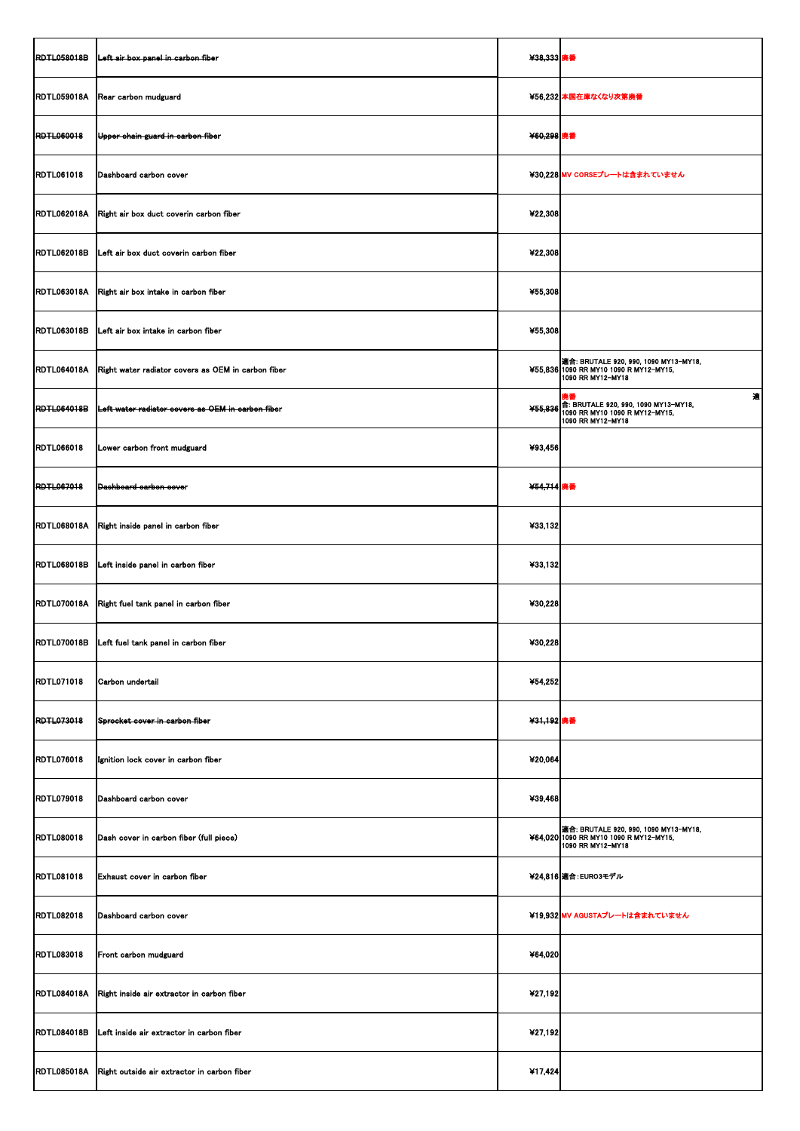| <b>RDTL058018B</b> | Left air box panel in carbon fiber                      | ¥38,333 廃番 |                                                                                                                |
|--------------------|---------------------------------------------------------|------------|----------------------------------------------------------------------------------------------------------------|
| <b>RDTL059018A</b> | Rear carbon mudguard                                    |            | ¥56,232 本国在庫なくなり次第廃番                                                                                           |
| <b>RDTL060018</b>  | Upper chain guard in carbon fiber                       | ¥60,298 廃番 |                                                                                                                |
| <b>RDTL061018</b>  | Dashboard carbon cover                                  |            | ¥30,228 MV CORSEプレートは含まれていません                                                                                  |
| <b>RDTL062018A</b> | Right air box duct coverin carbon fiber                 | ¥22,308    |                                                                                                                |
| <b>RDTL062018B</b> | Left air box duct coverin carbon fiber                  | ¥22,308    |                                                                                                                |
| <b>RDTL063018A</b> | Right air box intake in carbon fiber                    | ¥55,308    |                                                                                                                |
| <b>RDTL063018B</b> | Left air box intake in carbon fiber                     | ¥55,308    |                                                                                                                |
| <b>RDTL064018A</b> | Right water radiator covers as OEM in carbon fiber      |            | 適合: BRUTALE 920, 990, 1090 MY13-MY18,<br>¥55,836 1090 RR MY10 1090 R MY12-MY15,<br>1090 RR MY12-MY18           |
| <b>RDTL064018B</b> | Left water radiator covers as OEM in carbon fiber       |            | 適<br>廃番<br>¥55,836 6: BRUTALE 920, 990, 1090 MY13-MY18,<br>1090 RR MY10 1090 R MY12-MY15,<br>1090 RR MY12-MY18 |
| <b>RDTL066018</b>  | Lower carbon front mudguard                             | ¥93,456    |                                                                                                                |
| <b>RDTL067018</b>  | Dashboard carbon cover                                  | ¥54,714 廃番 |                                                                                                                |
| <b>RDTL068018A</b> | Right inside panel in carbon fiber                      | ¥33,132    |                                                                                                                |
| <b>RDTL068018B</b> | Left inside panel in carbon fiber                       | ¥33,132    |                                                                                                                |
| <b>RDTL070018A</b> | Right fuel tank panel in carbon fiber                   | ¥30,228    |                                                                                                                |
| <b>RDTL070018B</b> | Left fuel tank panel in carbon fiber                    | ¥30,228    |                                                                                                                |
| <b>RDTL071018</b>  | Carbon undertail                                        | ¥54,252    |                                                                                                                |
| <b>RDTL073018</b>  | Sprocket cover in carbon fiber                          | ¥31,192 廃番 |                                                                                                                |
| <b>RDTL076018</b>  | Ignition lock cover in carbon fiber                     | ¥20,064    |                                                                                                                |
| <b>RDTL079018</b>  | Dashboard carbon cover                                  | ¥39,468    |                                                                                                                |
| <b>RDTL080018</b>  | Dash cover in carbon fiber (full piece)                 |            | <b>適合: BRUTALE 920, 990, 1090 MY13-MY18,</b><br>¥64,020 1090 RR MY10 1090 R MY12-MY15,<br>1090 RR MY12-MY18    |
| <b>RDTL081018</b>  | <b>Exhaust cover in carbon fiber</b>                    |            | ¥24,816 適合: EURO3モデル                                                                                           |
| <b>RDTL082018</b>  | Dashboard carbon cover                                  |            | ¥19,932 MV AGUSTAプレートは含まれていません                                                                                 |
| <b>RDTL083018</b>  | Front carbon mudguard                                   | ¥64,020    |                                                                                                                |
|                    | RDTL084018A Right inside air extractor in carbon fiber  | ¥27,192    |                                                                                                                |
| <b>RDTL084018B</b> | Left inside air extractor in carbon fiber               | ¥27,192    |                                                                                                                |
|                    | RDTL085018A Right outside air extractor in carbon fiber | ¥17,424    |                                                                                                                |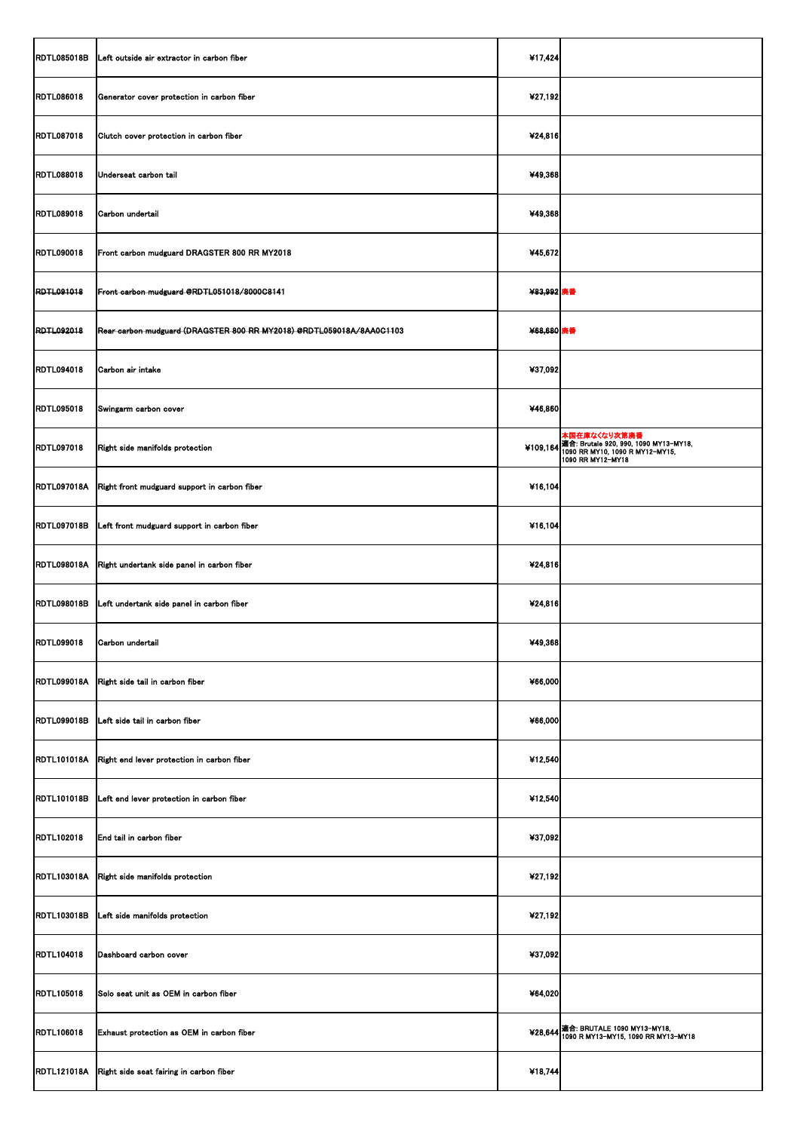| <b>RDTL085018B</b> | Left outside air extractor in carbon fiber                           | ¥17,424    |                                                                                                                        |
|--------------------|----------------------------------------------------------------------|------------|------------------------------------------------------------------------------------------------------------------------|
| <b>RDTL086018</b>  | Generator cover protection in carbon fiber                           | ¥27,192    |                                                                                                                        |
| <b>RDTL087018</b>  | Clutch cover protection in carbon fiber                              | ¥24,816    |                                                                                                                        |
| <b>RDTL088018</b>  | Underseat carbon tail                                                | ¥49,368    |                                                                                                                        |
| <b>RDTL089018</b>  | Carbon undertail                                                     | ¥49,368    |                                                                                                                        |
| <b>RDTL090018</b>  | Front carbon mudguard DRAGSTER 800 RR MY2018                         | ¥45,672    |                                                                                                                        |
| <b>RDTL091018</b>  | Front carbon mudguard @RDTL051018/8000C8141                          | ¥83,992 廃番 |                                                                                                                        |
| <b>RDTL092018</b>  | Rear carbon mudguard (DRAGSTER 800 RR MY2018) @RDTL059018A/8AA0C1103 | ¥68,680 廃番 |                                                                                                                        |
| <b>RDTL094018</b>  | Carbon air intake                                                    | ¥37,092    |                                                                                                                        |
| <b>RDTL095018</b>  | Swingarm carbon cover                                                | ¥46,860    |                                                                                                                        |
| <b>RDTL097018</b>  | Right side manifolds protection                                      |            | 本国在庫なくなり次第廃番<br>¥109,164 適合: Brutale 920, 990, 1090 MY13-MY18,<br>1090 RR MY10, 1090 R MY12-MY15,<br>1090 RR MY12-MY18 |
| <b>RDTL097018A</b> | Right front mudguard support in carbon fiber                         | ¥16,104    |                                                                                                                        |
| <b>RDTL097018B</b> | Left front mudguard support in carbon fiber                          | ¥16,104    |                                                                                                                        |
| <b>RDTL098018A</b> | Right undertank side panel in carbon fiber                           | ¥24,816    |                                                                                                                        |
| <b>RDTL098018B</b> | Left undertank side panel in carbon fiber                            | ¥24,816    |                                                                                                                        |
| <b>RDTL099018</b>  | Carbon undertail                                                     | ¥49,368    |                                                                                                                        |
|                    | RDTL099018A Right side tail in carbon fiber                          | ¥66,000    |                                                                                                                        |
| <b>RDTL099018B</b> | Left side tail in carbon fiber                                       | ¥66,000    |                                                                                                                        |
| <b>RDTL101018A</b> | Right end lever protection in carbon fiber                           | ¥12,540    |                                                                                                                        |
| <b>RDTL101018B</b> | Left end lever protection in carbon fiber                            | ¥12,540    |                                                                                                                        |
| <b>RDTL102018</b>  | End tail in carbon fiber                                             | ¥37,092    |                                                                                                                        |
|                    | RDTL103018A Right side manifolds protection                          | ¥27,192    |                                                                                                                        |
| <b>RDTL103018B</b> | Left side manifolds protection                                       | ¥27,192    |                                                                                                                        |
| <b>RDTL104018</b>  | Dashboard carbon cover                                               | ¥37,092    |                                                                                                                        |
|                    | RDTL105018 Solo seat unit as OEM in carbon fiber                     | ¥64,020    |                                                                                                                        |
| <b>RDTL106018</b>  | Exhaust protection as OEM in carbon fiber                            |            | ¥28,644 適合: BRUTALE 1090 MY13-MY18,<br>1090 R MY13-MY15, 1090 RR MY13-MY18                                             |
| <b>RDTL121018A</b> | Right side seat fairing in carbon fiber                              | ¥18,744    |                                                                                                                        |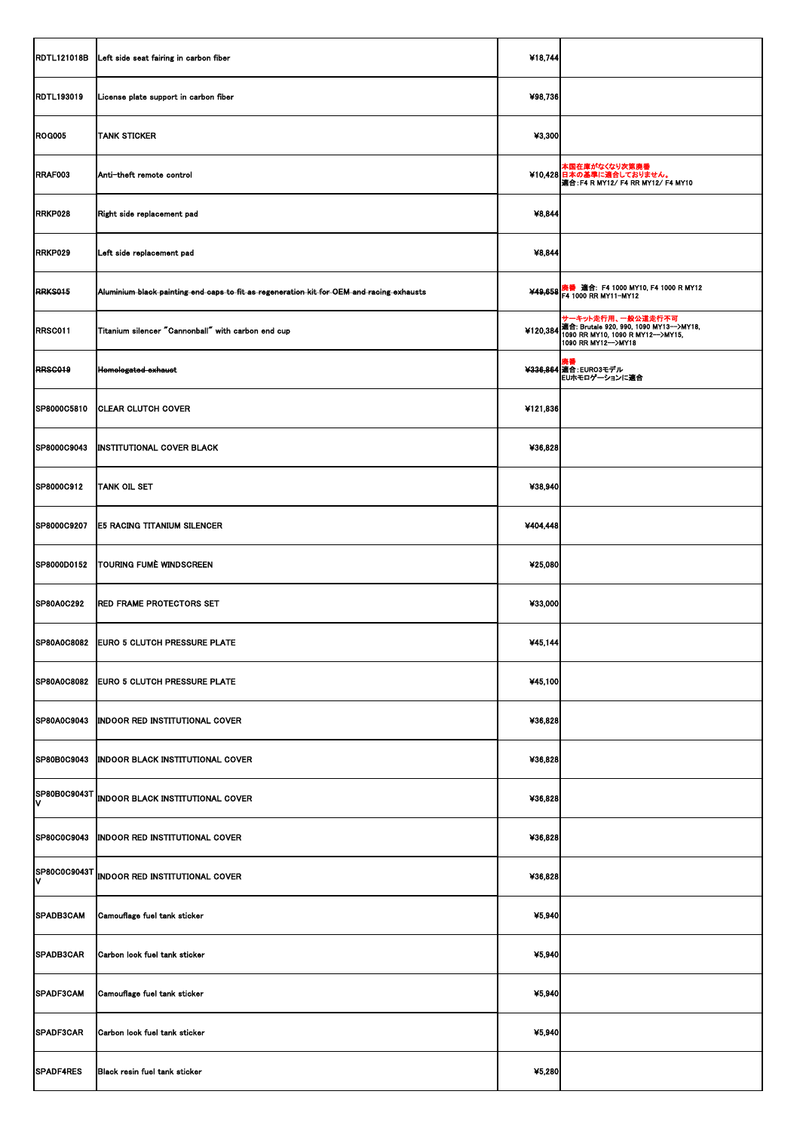| <b>RDTL121018B</b> | Left side seat fairing in carbon fiber                                                   | ¥18,744  |                                                                                                                                                 |
|--------------------|------------------------------------------------------------------------------------------|----------|-------------------------------------------------------------------------------------------------------------------------------------------------|
| <b>RDTL193019</b>  | License plate support in carbon fiber                                                    | ¥98,736  |                                                                                                                                                 |
| <b>ROG005</b>      | <b>TANK STICKER</b>                                                                      | ¥3,300   |                                                                                                                                                 |
| RRAF003            | Anti-theft remote control                                                                |          | 本国在庫がなくなり次第廃番<br>¥10,428 日本の基準に適合しておりません。<br>適合: F4 R MY12/ F4 RR MY12/ F4 MY10                                                                 |
| RRKP028            | Right side replacement pad                                                               | 48,844   |                                                                                                                                                 |
| RRKP029            | Left side replacement pad                                                                | 48,844   |                                                                                                                                                 |
| <b>RRKS015</b>     | Aluminium black painting end caps to fit as regeneration kit for OEM and racing exhausts |          | ¥49,658 廃番  適合:  F4 1000 MY10, F4 1000 R MY12<br>¥49,658 F4 1000 RR MY11-MY12                                                                   |
| RRSC011            | Titanium silencer "Cannonball" with carbon end cup                                       |          | せーキット走行用、一般公道走行不可<br>¥120,384 <mark>適合: Brutale 920, 990, 1090 MY13−−</mark> >MY18,<br>1090 RR MY10, 1090 R MY12−−>MY15,<br>1090 RR MY12-->MY18 |
| RRSC019            | Homologated exhaust                                                                      |          |                                                                                                                                                 |
| SP8000C5810        | <b>CLEAR CLUTCH COVER</b>                                                                | ¥121,836 |                                                                                                                                                 |
| SP8000C9043        | <b>INSTITUTIONAL COVER BLACK</b>                                                         | ¥36,828  |                                                                                                                                                 |
| <b>SP8000C912</b>  | <b>TANK OIL SET</b>                                                                      | ¥38,940  |                                                                                                                                                 |
| SP8000C9207        | <b>E5 RACING TITANIUM SILENCER</b>                                                       | ¥404,448 |                                                                                                                                                 |
| SP8000D0152        | TOURING FUMÈ WINDSCREEN                                                                  | ¥25,080  |                                                                                                                                                 |
| <b>SP80A0C292</b>  | <b>RED FRAME PROTECTORS SET</b>                                                          | ¥33,000  |                                                                                                                                                 |
| SP80A0C8082        | <b>EURO 5 CLUTCH PRESSURE PLATE</b>                                                      | 445,144  |                                                                                                                                                 |
| SP80A0C8082        | <b>EURO 5 CLUTCH PRESSURE PLATE</b>                                                      | ¥45,100  |                                                                                                                                                 |
| SP80A0C9043        | <b>INDOOR RED INSTITUTIONAL COVER</b>                                                    | ¥36,828  |                                                                                                                                                 |
| SP80B0C9043        | <b>INDOOR BLACK INSTITUTIONAL COVER</b>                                                  | ¥36,828  |                                                                                                                                                 |
| ΙV                 | SP80B0C9043T INDOOR BLACK INSTITUTIONAL COVER                                            | ¥36,828  |                                                                                                                                                 |
| <b>SP80C0C9043</b> | <b>INDOOR RED INSTITUTIONAL COVER</b>                                                    | ¥36,828  |                                                                                                                                                 |
| I۷                 | SP80C0C9043T INDOOR RED INSTITUTIONAL COVER                                              | ¥36,828  |                                                                                                                                                 |
| SPADB3CAM          | Camouflage fuel tank sticker                                                             | ¥5,940   |                                                                                                                                                 |
| SPADB3CAR          | Carbon look fuel tank sticker                                                            | ¥5,940   |                                                                                                                                                 |
|                    | SPADF3CAM Camouflage fuel tank sticker                                                   | 45,940   |                                                                                                                                                 |
| SPADF3CAR          | Carbon look fuel tank sticker                                                            | ¥5,940   |                                                                                                                                                 |
| SPADF4RES          | Black resin fuel tank sticker                                                            | ¥5,280   |                                                                                                                                                 |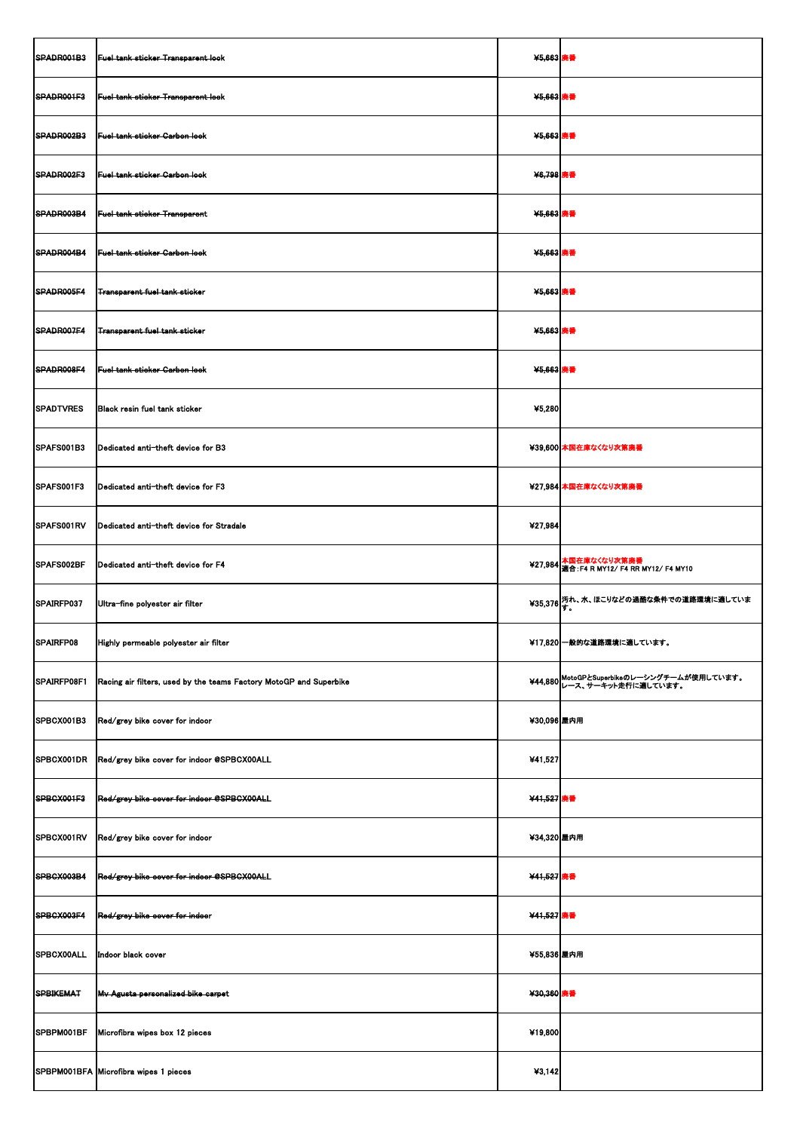| SPADR001B3        | Fuel tank sticker Transparent look                                 | ¥5,663 廃番   |                                                                           |
|-------------------|--------------------------------------------------------------------|-------------|---------------------------------------------------------------------------|
| SPADR001F3        | Fuel tank sticker Transparent look                                 | ¥5,663 廃番   |                                                                           |
| SPADR002B3        | <b>Fuel tank sticker Carbon look</b>                               | ¥5,663 廃番   |                                                                           |
| SPADR002F3        | Fuel tank sticker Garbon look                                      | ¥6,798 廃番   |                                                                           |
| SPADR003B4        | Fuel tank sticker Transparent                                      | ¥5,663 廃番   |                                                                           |
| SPADR004B4        | <b>Fuel tank sticker Garbon look</b>                               | ¥5,663 廃番   |                                                                           |
| SPADR005F4        | <b>Transparent fuel tank sticker</b>                               | ¥5,663 廃番   |                                                                           |
| SPADR007F4        | <b>Transparent fuel tank sticker</b>                               | ¥5,663 廃番   |                                                                           |
| SPADR008F4        | <b>Fuel tank sticker Carbon look</b>                               | ¥5,663 廃番   |                                                                           |
| <b>SPADTVRES</b>  | Black resin fuel tank sticker                                      | ¥5,280      |                                                                           |
| SPAFS001B3        | Dedicated anti-theft device for B3                                 |             | ¥39,600 本国在庫なくなり次第廃番                                                      |
| SPAFS001F3        | Dedicated anti-theft device for F3                                 |             | ¥27,984 本国在庫なくなり次第廃番                                                      |
| SPAFS001RV        | Dedicated anti-theft device for Stradale                           | 427,984     |                                                                           |
| SPAFS002BF        | Dedicated anti-theft device for F4                                 |             | ¥27,984 本国在庫なくなり次第廃番<br>¥27,984  適合:F4 R MY12/ F4 RR MY12/ F4 MY10        |
| SPAIRFP037        | Ultra-fine polyester air filter                                    |             | ¥35,376 汚れ、水、ほこりなどの過酷な条件での道路環境に適していま<br>¥35,376 す。                        |
| SPAIRFP08         | Highly permeable polyester air filter                              |             | ¥17,820 一般的な道路環境に適しています。                                                  |
| SPAIRFP08F1       | Racing air filters, used by the teams Factory MotoGP and Superbike |             | ¥44,880 MotoGPとSuperbikeのレーシングチームが使用しています。<br>¥44,880 レース、サーキット走行に適しています。 |
| SPBCX001B3        | Red/grey bike cover for indoor                                     | ¥30,096 屋内用 |                                                                           |
| SPBCX001DR        | Red/grey bike cover for indoor @SPBCX00ALL                         | ¥41,527     |                                                                           |
| SPBCX001F3        | Red/grey bike cover for indoor @SPBCX00ALL                         | ¥41,527 廃番  |                                                                           |
| SPBCX001RV        | Red/grey bike cover for indoor                                     | ¥34,320 屋内用 |                                                                           |
| SPBCX003B4        | Red/grey bike cover for indoor @SPBCX00ALL                         | ¥41,527 廃番  |                                                                           |
| SPBCX003F4        | Red/grey bike cover for indoor                                     | ¥41,527 廃番  |                                                                           |
| <b>SPBCX00ALL</b> | Indoor black cover                                                 | ¥55,836 屋内用 |                                                                           |
| SPBIKEMAT         | Mv Agusta personalized bike carpet                                 | ¥30,360 廃番  |                                                                           |
| SPBPM001BF        | Microfibra wipes box 12 pieces                                     | ¥19,800     |                                                                           |
|                   | SPBPM001BFA Microfibra wipes 1 pieces                              | 43,142      |                                                                           |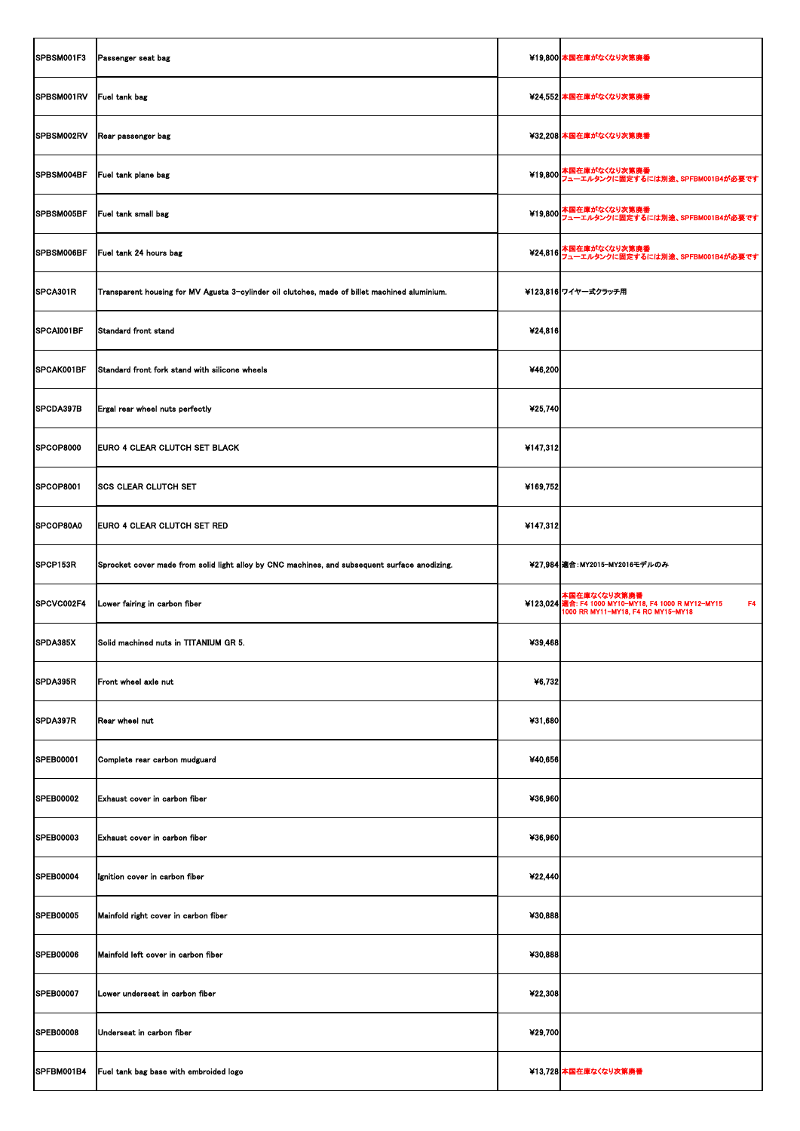| SPBSM001F3         | Passenger seat bag                                                                            |          | ¥19,800 本国在庫がなくなり次第廃番                                                                                                       |
|--------------------|-----------------------------------------------------------------------------------------------|----------|-----------------------------------------------------------------------------------------------------------------------------|
| SPBSM001RV         | <b>Fuel tank bag</b>                                                                          |          | ¥24,552 本国在庫がなくなり次第廃番                                                                                                       |
| SPBSM002RV         | Rear passenger bag                                                                            |          | ¥32,208 本国在庫がなくなり次第廃番                                                                                                       |
| SPBSM004BF         | <b>Fuel tank plane bag</b>                                                                    |          | ¥19,800 本国在庫がなくなり次第廃番<br>¥19,800 フューエルタンクに固定するには別途、SPFBM001B4が必要です                                                          |
| SPBSM005BF         | <b>Fuel tank small bag</b>                                                                    |          | ¥19,800 本国在庫がなくなり次第廃番<br>¥19,800 フューエルタンクに固定するには別途、SPFBM001B4が必要です                                                          |
| SPBSM006BF         | Fuel tank 24 hours bag                                                                        |          | ¥24,816 本国在庫がなくなり次第廃番<br>¥24,816 フューエルタンクに固定するには別途、SPFBM001B4が必要です                                                          |
| SPCA301R           | Transparent housing for MV Agusta 3-cylinder oil clutches, made of billet machined aluminium. |          | ¥123,816 ワイヤー式クラッチ用                                                                                                         |
| SPCAI001BF         | Standard front stand                                                                          | ¥24,816  |                                                                                                                             |
| SPCAK001BF         | Standard front fork stand with silicone wheels                                                | ¥46,200  |                                                                                                                             |
| SPCDA397B          | Ergal rear wheel nuts perfectly                                                               | ¥25,740  |                                                                                                                             |
| SPCOP8000          | <b>EURO 4 CLEAR CLUTCH SET BLACK</b>                                                          | 4147,312 |                                                                                                                             |
| SPCOP8001          | <b>SCS CLEAR CLUTCH SET</b>                                                                   | ¥169,752 |                                                                                                                             |
| SPCOP80A0          | <b>EURO 4 CLEAR CLUTCH SET RED</b>                                                            | 4147,312 |                                                                                                                             |
| SPCP153R           | Sprocket cover made from solid light alloy by CNC machines, and subsequent surface anodizing. |          | ¥27,984 適合: MY2015-MY2016モデルのみ                                                                                              |
| <b>ISPCVC002F4</b> | Lower fairing in carbon fiber                                                                 |          | 本国在庫なくなり次第廃番<br>¥123,024 適合: F4 1000 MY10-MY18, F4 1000 R MY12-MY15<br>F <sub>4</sub><br>1000 RR MY11-MY18, F4 RC MY15-MY18 |
| SPDA385X           | Solid machined nuts in TITANIUM GR 5.                                                         | ¥39,468  |                                                                                                                             |
| SPDA395R           | Front wheel axle nut                                                                          | ¥6,732   |                                                                                                                             |
| SPDA397R           | Rear wheel nut                                                                                | ¥31,680  |                                                                                                                             |
| <b>SPEB00001</b>   | Complete rear carbon mudguard                                                                 | ¥40,656  |                                                                                                                             |
| <b>SPEB00002</b>   | Exhaust cover in carbon fiber                                                                 | ¥36,960  |                                                                                                                             |
| <b>SPEB00003</b>   | Exhaust cover in carbon fiber                                                                 | ¥36,960  |                                                                                                                             |
| <b>SPEB00004</b>   | Ignition cover in carbon fiber                                                                | ¥22,440  |                                                                                                                             |
| <b>SPEB00005</b>   | Mainfold right cover in carbon fiber                                                          | ¥30,888  |                                                                                                                             |
| <b>SPEB00006</b>   | Mainfold left cover in carbon fiber                                                           | ¥30,888  |                                                                                                                             |
| <b>SPEB00007</b>   | Lower underseat in carbon fiber                                                               | 422,308  |                                                                                                                             |
| <b>SPEB00008</b>   | Underseat in carbon fiber                                                                     | ¥29,700  |                                                                                                                             |
| SPFBM001B4         | Fuel tank bag base with embroided logo                                                        |          | ¥13,728 本国在庫なくなり次第廃番                                                                                                        |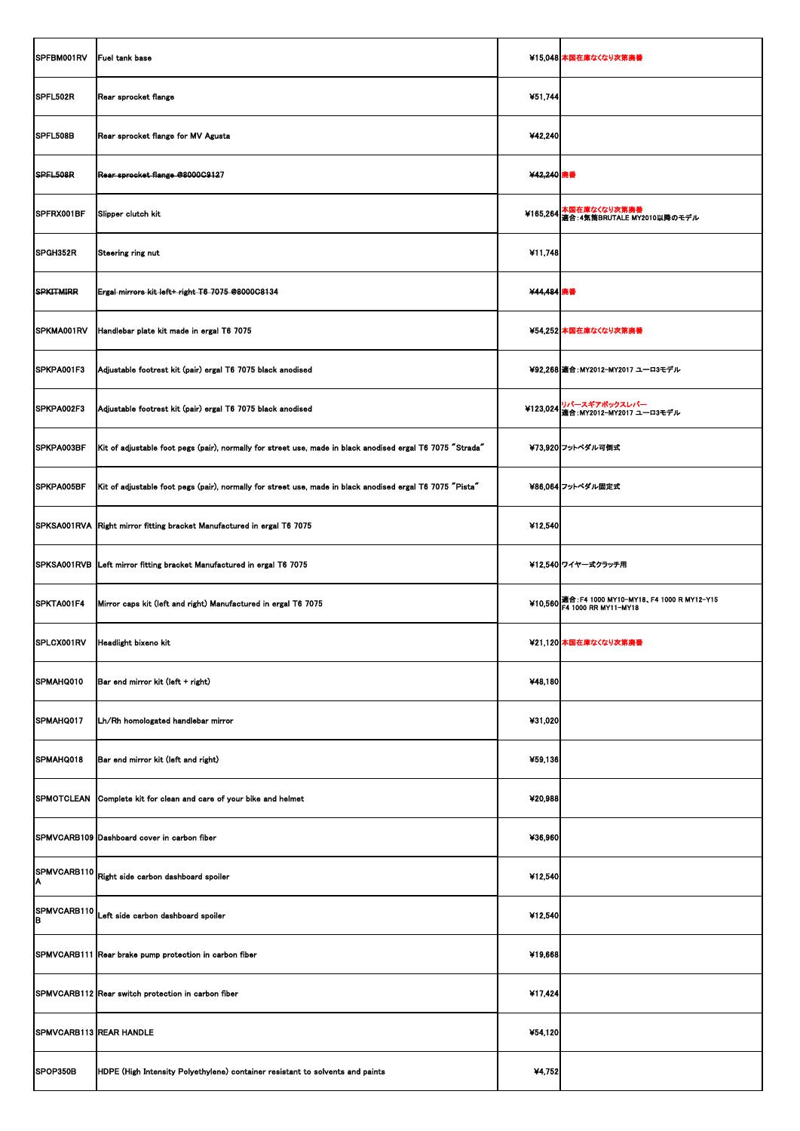| SPFBM001RV              | Fuel tank base                                                                                             |            | ¥15,048 本国在庫なくなり次第廃番                                                             |
|-------------------------|------------------------------------------------------------------------------------------------------------|------------|----------------------------------------------------------------------------------|
|                         |                                                                                                            |            |                                                                                  |
| SPFL502R                | Rear sprocket flange                                                                                       | ¥51,744    |                                                                                  |
| SPFL508B                | Rear sprocket flange for MV Agusta                                                                         | ¥42,240    |                                                                                  |
| SPFL508R                | Rear sprooket flange @8000C9127                                                                            | ¥42,240 廃番 |                                                                                  |
| SPFRX001BF              | Slipper clutch kit                                                                                         |            | ¥165,264 本国在庫なくなり次第廃番<br>半165,264 通合: 4気筒BRUTALE MY2010以降のモデル                    |
| SPGH352R                | Steering ring nut                                                                                          | ¥11,748    |                                                                                  |
| SPKITMIRR               | Ergal mirrors kit left+ right T6 7075 @8000C8134                                                           | ¥44,484 廃番 |                                                                                  |
| SPKMA001RV              | Handlebar plate kit made in ergal T6 7075                                                                  |            | ¥54,252 本国在庫なくなり次第廃番                                                             |
| SPKPA001F3              | Adjustable footrest kit (pair) ergal T6 7075 black anodised                                                |            | ¥92,268 適合: MY2012-MY2017 ユーロ3モデル                                                |
| SPKPA002F3              | Adjustable footrest kit (pair) ergal T6 7075 black anodised                                                |            | ¥123,024  リバースギアボックスレバー<br> 適合:MY2012-MY2017 ユーロ3モデル                             |
| SPKPA003BF              | Kit of adjustable foot pegs (pair), normally for street use, made in black anodised ergal T6 7075 "Strada" |            | ¥73,920 フットペダル可倒式                                                                |
| SPKPA005BF              | Kit of adjustable foot pegs (pair), normally for street use, made in black anodised ergal T6 7075 "Pista"  |            | ¥86,064 フットペダル固定式                                                                |
|                         | SPKSA001RVA Right mirror fitting bracket Manufactured in ergal T6 7075                                     | ¥12,540    |                                                                                  |
|                         | SPKSA001RVB Left mirror fitting bracket Manufactured in ergal T6 7075                                      |            | ¥12,540 ワイヤー式クラッチ用                                                               |
| SPKTA001F4              | Mirror caps kit (left and right) Manufactured in ergal T6 7075                                             |            | ¥10,560 適合: F4 1000 MY10-MY18、F4 1000 R MY12-Y15<br>¥10,560 F4 1000 RR MY11-MY18 |
| SPLCX001RV              | Headlight bixeno kit                                                                                       |            | ¥21,120 本国在庫なくなり次第廃番                                                             |
| SPMAHQ010               | Bar end mirror kit (left + right)                                                                          | ¥48,180    |                                                                                  |
| SPMAHQ017               | Lh/Rh homologated handlebar mirror                                                                         | ¥31,020    |                                                                                  |
| SPMAHQ018               | Bar end mirror kit (left and right)                                                                        | ¥59,136    |                                                                                  |
|                         | SPMOTCLEAN Complete kit for clean and care of your bike and helmet                                         | ¥20,988    |                                                                                  |
|                         | SPMVCARB109 Dashboard cover in carbon fiber                                                                | ¥36,960    |                                                                                  |
|                         | SPMVCARB110 Right side carbon dashboard spoiler                                                            | ¥12,540    |                                                                                  |
| lв                      | SPMVCARB110 Left side carbon dashboard spoiler                                                             | ¥12,540    |                                                                                  |
|                         | SPMVCARB111 Rear brake pump protection in carbon fiber                                                     | ¥19,668    |                                                                                  |
|                         | SPMVCARB112 Rear switch protection in carbon fiber                                                         | ¥17,424    |                                                                                  |
| SPMVCARB113 REAR HANDLE |                                                                                                            | ¥54,120    |                                                                                  |
| SPOP350B                | HDPE (High Intensity Polyethylene) container resistant to solvents and paints                              | ¥4,752     |                                                                                  |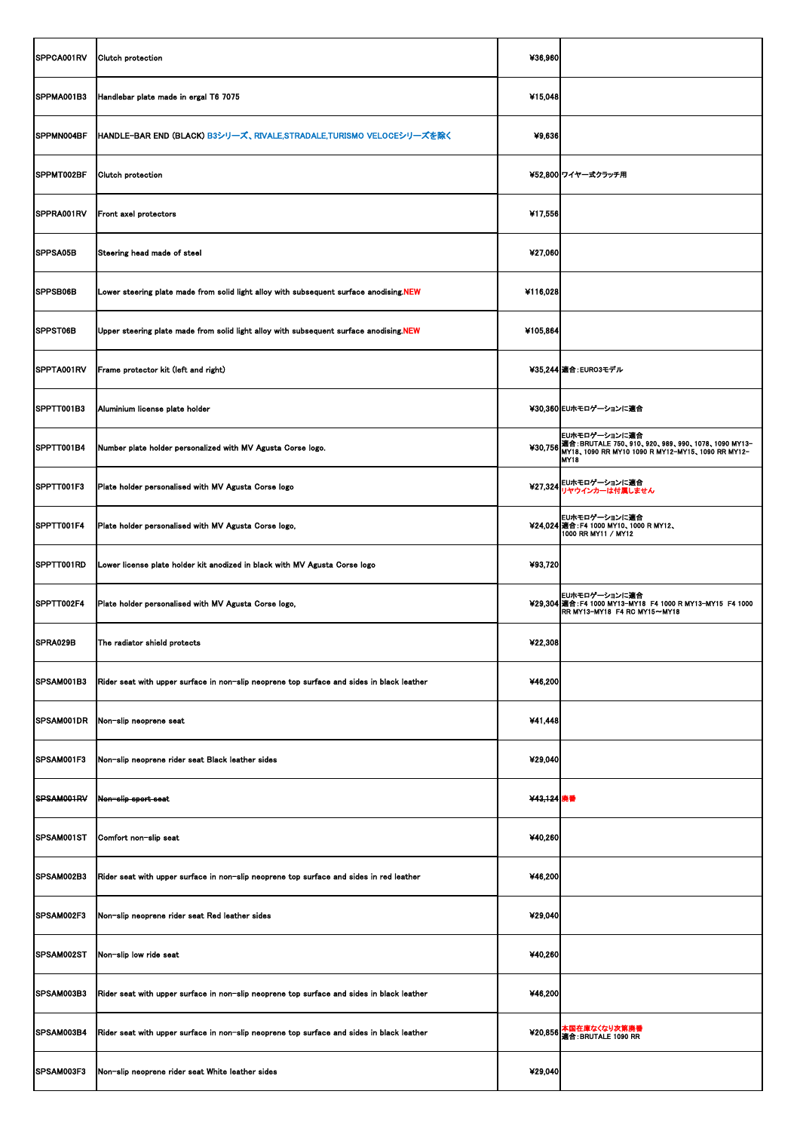| SPPCA001RV      | <b>Clutch protection</b>                                                                             | ¥36,960    |                                                                                                                                                     |
|-----------------|------------------------------------------------------------------------------------------------------|------------|-----------------------------------------------------------------------------------------------------------------------------------------------------|
| SPPMA001B3      | Handlebar plate made in ergal T6 7075                                                                | ¥15,048    |                                                                                                                                                     |
| SPPMN004BF      | HANDLE-BAR END (BLACK) B3シリーズ、RIVALE,STRADALE,TURISMO VELOCEシリーズを除く                                  | ¥9,636     |                                                                                                                                                     |
| SPPMT002BF      | Clutch protection                                                                                    |            | ¥52,800 ワイヤー式クラッチ用                                                                                                                                  |
| SPPRA001RV      | Front axel protectors                                                                                | ¥17,556    |                                                                                                                                                     |
| <b>SPPSA05B</b> | Steering head made of steel                                                                          | ¥27,060    |                                                                                                                                                     |
| <b>SPPSB06B</b> | Lower steering plate made from solid light alloy with subsequent surface anodising.NEW               | ¥116,028   |                                                                                                                                                     |
| SPPST06B        | Upper steering plate made from solid light alloy with subsequent surface anodising.NEW               | ¥105,864   |                                                                                                                                                     |
| SPPTA001RV      | Frame protector kit (left and right)                                                                 |            | ¥35,244   適合: EURO3モデル                                                                                                                              |
| SPPTT001B3      | Aluminium license plate holder                                                                       |            | ¥30,360 EUホモロゲーションに適合                                                                                                                               |
| SPPTT001B4      | Number plate holder personalized with MV Agusta Corse logo.                                          |            | EUホモロゲーションに適合<br>¥30,756 適合: BRUTALE 750、910、920、989、990、1078、1090 MY13-<br>¥30,756 MY18、1090 RR MY10 1090 R MY12-MY15、1090 RR MY12-<br><b>MY18</b> |
| SPPTT001F3      | Plate holder personalised with MV Agusta Corse logo                                                  |            | ¥27,324 EUホモロゲーションに適合<br>リヤウインカーは付属しません                                                                                                             |
| SPPTT001F4      | Plate holder personalised with MV Agusta Corse logo,                                                 |            | EUホモロゲーションに適合<br>¥24,024 適合: F4 1000 MY10、1000 R MY12、<br>1000 RR MY11 / MY12                                                                       |
| SPPTT001RD      | Lower license plate holder kit anodized in black with MV Agusta Corse logo                           | ¥93,720    |                                                                                                                                                     |
| SPPTT002F4      | Plate holder personalised with MV Agusta Corse logo,                                                 |            | EUホモロゲーションに適合<br>¥29,304 適合: F4 1000 MY13-MY18 F4 1000 R MY13-MY15 F4 1000<br>$IRR$ MY13-MY18 F4 RC MY15 $\sim$ MY18                                |
| SPRA029B        | The radiator shield protects                                                                         | ¥22,308    |                                                                                                                                                     |
| SPSAM001B3      | Rider seat with upper surface in non-slip neoprene top surface and sides in black leather            | ¥46,200    |                                                                                                                                                     |
| SPSAM001DR      | Non-slip neoprene seat                                                                               | ¥41,448    |                                                                                                                                                     |
| SPSAM001F3      | Non-slip neoprene rider seat Black leather sides                                                     | ¥29,040    |                                                                                                                                                     |
| SPSAM001RV      | Non-slip sport seat                                                                                  | ¥43,124 廃番 |                                                                                                                                                     |
| SPSAM001ST      | Comfort non-slip seat                                                                                | ¥40,260    |                                                                                                                                                     |
| SPSAM002B3      | Rider seat with upper surface in non-slip neoprene top surface and sides in red leather              | ¥46,200    |                                                                                                                                                     |
| SPSAM002F3      | Non-slip neoprene rider seat Red leather sides                                                       | ¥29,040    |                                                                                                                                                     |
| SPSAM002ST      | Non-slip low ride seat                                                                               | ¥40,260    |                                                                                                                                                     |
|                 | SPSAM003B3 Rider seat with upper surface in non-slip neoprene top surface and sides in black leather | ¥46,200    |                                                                                                                                                     |
| SPSAM003B4      | Rider seat with upper surface in non-slip neoprene top surface and sides in black leather            |            | ¥20,856 本国在庫なくなり次第廃番                                                                                                                                |
| SPSAM003F3      | Non-slip neoprene rider seat White leather sides                                                     | ¥29,040    |                                                                                                                                                     |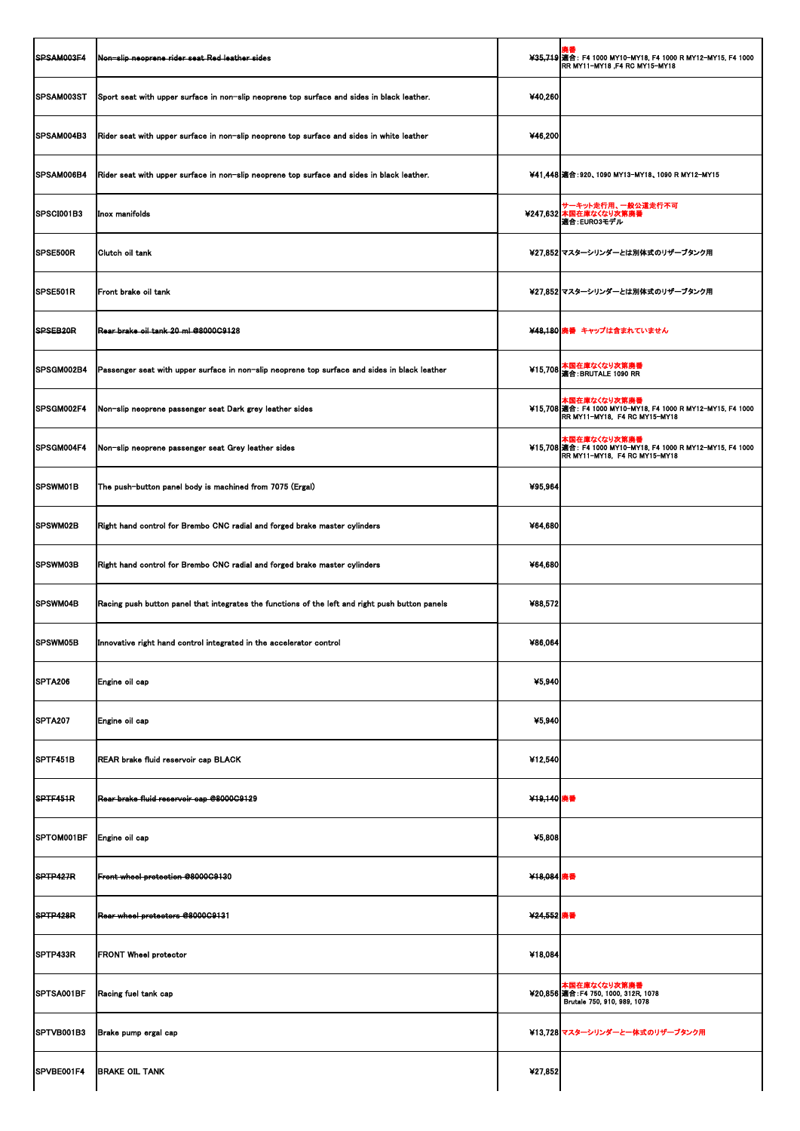| <b>SPSAM003F4</b>    | Non-slip neoprene rider seat Red leather sides                                                  |            | ¥35,719 適合: F4 1000 MY10-MY18, F4 1000 R MY12-MY15, F4 1000<br>RR MY11-MY18, F4 RC MY15-MY18                   |
|----------------------|-------------------------------------------------------------------------------------------------|------------|----------------------------------------------------------------------------------------------------------------|
| <b>SPSAM003ST</b>    | Sport seat with upper surface in non-slip neoprene top surface and sides in black leather.      | 440,260    |                                                                                                                |
| <b>SPSAM004B3</b>    | Rider seat with upper surface in non-slip neoprene top surface and sides in white leather       | ¥46,200    |                                                                                                                |
| <b>SPSAM006B4</b>    | Rider seat with upper surface in non-slip neoprene top surface and sides in black leather.      |            | ¥41,448 適合: 920、1090 MY13-MY18、1090 R MY12-MY15                                                                |
| <b>ISPSCI001B3</b>   | <b>Inox manifolds</b>                                                                           |            | サーキット走行用、一般公道走行不可<br>¥247,632 本国在庫なくなり次第廃番<br>■適合:EURO3モデル                                                     |
| <b>SPSE500R</b>      | Clutch oil tank                                                                                 |            | ¥27,852 マスターシリンダーとは別体式のリザーブタンク用                                                                                |
| SPSE501R             | Front brake oil tank                                                                            |            | ¥27,852 マスターシリンダーとは別体式のリザーブタンク用                                                                                |
| SPSEB <sub>20R</sub> | Rear brake oil tank 20 ml @8000C9128                                                            |            | ¥48,180 廃番 キャップは含まれていません                                                                                       |
| SPSGM002B4           | Passenger seat with upper surface in non-slip neoprene top surface and sides in black leather   |            | ¥15,708 本国在庫なくなり次第廃番<br>適合: BRUTALE 1090 RR                                                                    |
| <b>SPSGM002F4</b>    | Non-slip neoprene passenger seat Dark grey leather sides                                        |            | 本国在庫なくなり次第廃番<br>¥15,708   適合: F4 1000 MY10-MY18, F4 1000 R MY12-MY15, F4 1000<br>RR MY11-MY18, F4 RC MY15-MY18 |
| <b>SPSGM004F4</b>    | Non-slip neoprene passenger seat Grey leather sides                                             |            | 本国在庫なくなり次第廃番<br>¥15,708   適合: F4 1000 MY10-MY18, F4 1000 R MY12-MY15, F4 1000<br>RR MY11-MY18, F4 RC MY15-MY18 |
| <b>SPSWM01B</b>      | The push-button panel body is machined from 7075 (Ergal)                                        | ¥95,964    |                                                                                                                |
| SPSWM02B             | Right hand control for Brembo CNC radial and forged brake master cylinders                      | ¥64,680    |                                                                                                                |
| <b>SPSWM03B</b>      | Right hand control for Brembo CNC radial and forged brake master cylinders                      | 464,680    |                                                                                                                |
| <b>ISPSWM04B</b>     | Racing push button panel that integrates the functions of the left and right push button panels | ¥88,572    |                                                                                                                |
| <b>SPSWM05B</b>      | Innovative right hand control integrated in the accelerator control                             | ¥86,064    |                                                                                                                |
| SPTA206              | Engine oil cap                                                                                  | 45,940     |                                                                                                                |
| SPTA207              | Engine oil cap                                                                                  | 45,940     |                                                                                                                |
| SPTF451B             | REAR brake fluid reservoir cap BLACK                                                            | ¥12,540    |                                                                                                                |
| SPTF451R             | Rear brake fluid reservoir cap @8000C9129                                                       | ¥19,140 廃番 |                                                                                                                |
| SPTOM001BF           | Engine oil cap                                                                                  | ¥5,808     |                                                                                                                |
| SPTP427R             | Front wheel protection @8000C9130                                                               | ¥18,084 廃番 |                                                                                                                |
| SPTP428R             | Rear wheel protectors @8000C9131                                                                | ¥24,552 廃番 |                                                                                                                |
| SPTP433R             | <b>FRONT Wheel protector</b>                                                                    | ¥18,084    |                                                                                                                |
|                      | SPTSA001BF   Racing fuel tank cap                                                               |            | 本国在庫なくなり次第廃番<br>¥20,856 適合: F4 750, 1000, 312R, 1078<br>Brutale 750, 910, 989, 1078                            |
| SPTVB001B3           | Brake pump ergal cap                                                                            |            | ¥13,728 マスターシリンダーと一体式のリザーブタンク用                                                                                 |
| SPVBE001F4           | <b>BRAKE OIL TANK</b>                                                                           | 427,852    |                                                                                                                |
|                      |                                                                                                 |            |                                                                                                                |